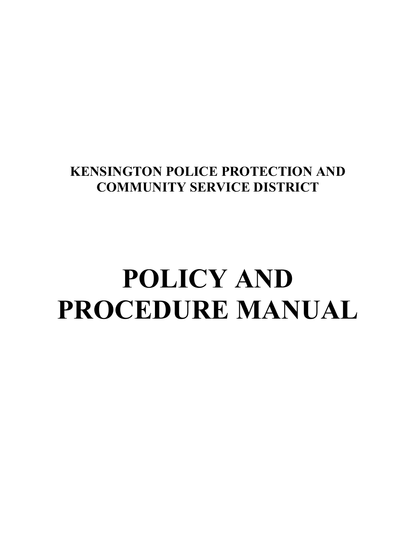### **KENSINGTON POLICE PROTECTION AND COMMUNITY SERVICE DISTRICT**

### **POLICY AND PROCEDURE MANUAL**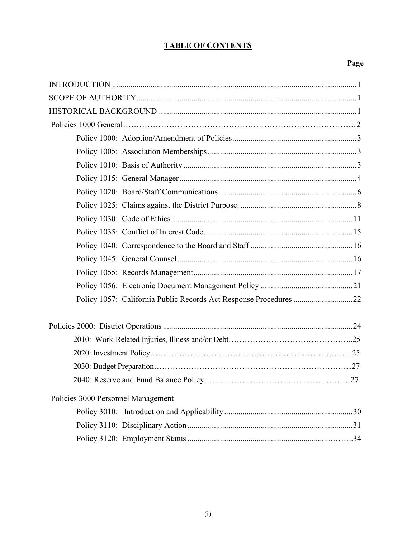#### **TABLE OF CONTENTS**

#### **Page**

| Policy 1057: California Public Records Act Response Procedures 22 |
|-------------------------------------------------------------------|
|                                                                   |
|                                                                   |
|                                                                   |
|                                                                   |
|                                                                   |
| Policies 3000 Personnel Management                                |
|                                                                   |
|                                                                   |
|                                                                   |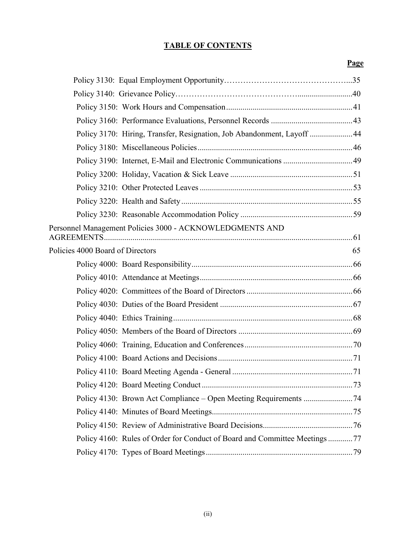#### **TABLE OF CONTENTS**

#### **Page**

|                                  | Policy 3170: Hiring, Transfer, Resignation, Job Abandonment, Layoff  44    |    |
|----------------------------------|----------------------------------------------------------------------------|----|
|                                  |                                                                            |    |
|                                  |                                                                            |    |
|                                  |                                                                            |    |
|                                  |                                                                            |    |
|                                  |                                                                            |    |
|                                  |                                                                            |    |
|                                  | Personnel Management Policies 3000 - ACKNOWLEDGMENTS AND                   |    |
| Policies 4000 Board of Directors |                                                                            | 65 |
|                                  |                                                                            |    |
|                                  |                                                                            |    |
|                                  |                                                                            |    |
|                                  |                                                                            |    |
|                                  |                                                                            |    |
|                                  |                                                                            |    |
|                                  |                                                                            |    |
|                                  |                                                                            |    |
|                                  |                                                                            |    |
|                                  |                                                                            |    |
|                                  |                                                                            |    |
|                                  |                                                                            |    |
|                                  |                                                                            |    |
|                                  | Policy 4160: Rules of Order for Conduct of Board and Committee Meetings 77 |    |
|                                  |                                                                            |    |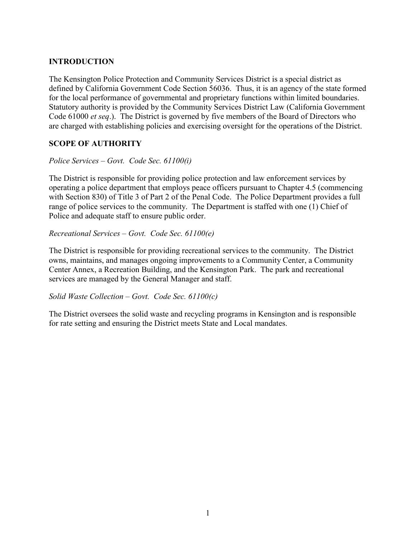#### **INTRODUCTION**

The Kensington Police Protection and Community Services District is a special district as defined by California Government Code Section 56036. Thus, it is an agency of the state formed for the local performance of governmental and proprietary functions within limited boundaries. Statutory authority is provided by the Community Services District Law (California Government Code 61000 *et seq*.). The District is governed by five members of the Board of Directors who are charged with establishing policies and exercising oversight for the operations of the District.

#### **SCOPE OF AUTHORITY**

#### *Police Services – Govt. Code Sec. 61100(i)*

The District is responsible for providing police protection and law enforcement services by operating a police department that employs peace officers pursuant to Chapter 4.5 (commencing with Section 830) of Title 3 of Part 2 of the Penal Code. The Police Department provides a full range of police services to the community. The Department is staffed with one (1) Chief of Police and adequate staff to ensure public order.

#### *Recreational Services – Govt. Code Sec. 61100(e)*

The District is responsible for providing recreational services to the community. The District owns, maintains, and manages ongoing improvements to a Community Center, a Community Center Annex, a Recreation Building, and the Kensington Park. The park and recreational services are managed by the General Manager and staff.

#### *Solid Waste Collection – Govt. Code Sec. 61100(c)*

The District oversees the solid waste and recycling programs in Kensington and is responsible for rate setting and ensuring the District meets State and Local mandates.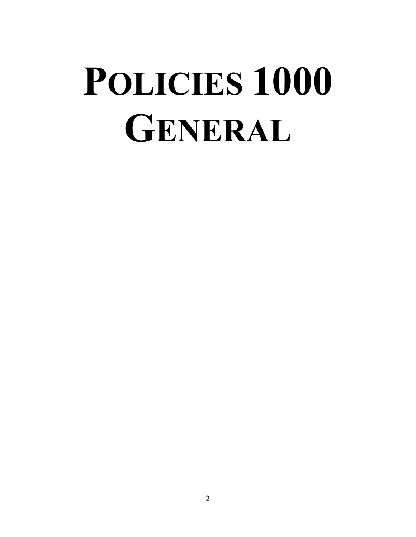### **POLICIES 1000 GENERAL**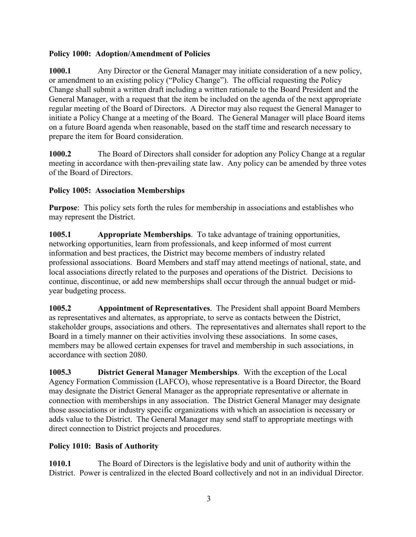#### **Policy 1000: Adoption/Amendment of Policies**

**1000.1** Any Director or the General Manager may initiate consideration of a new policy, or amendment to an existing policy ("Policy Change"). The official requesting the Policy Change shall submit a written draft including a written rationale to the Board President and the General Manager, with a request that the item be included on the agenda of the next appropriate regular meeting of the Board of Directors. A Director may also request the General Manager to initiate a Policy Change at a meeting of the Board. The General Manager will place Board items on a future Board agenda when reasonable, based on the staff time and research necessary to prepare the item for Board consideration.

**1000.2** The Board of Directors shall consider for adoption any Policy Change at a regular meeting in accordance with then-prevailing state law. Any policy can be amended by three votes of the Board of Directors.

#### **Policy 1005: Association Memberships**

**Purpose**: This policy sets forth the rules for membership in associations and establishes who may represent the District.

**1005.1 Appropriate Memberships**. To take advantage of training opportunities, networking opportunities, learn from professionals, and keep informed of most current information and best practices, the District may become members of industry related professional associations. Board Members and staff may attend meetings of national, state, and local associations directly related to the purposes and operations of the District. Decisions to continue, discontinue, or add new memberships shall occur through the annual budget or midyear budgeting process.

**1005.2 Appointment of Representatives**. The President shall appoint Board Members as representatives and alternates, as appropriate, to serve as contacts between the District, stakeholder groups, associations and others. The representatives and alternates shall report to the Board in a timely manner on their activities involving these associations. In some cases, members may be allowed certain expenses for travel and membership in such associations, in accordance with section 2080.

**1005.3 District General Manager Memberships**. With the exception of the Local Agency Formation Commission (LAFCO), whose representative is a Board Director, the Board may designate the District General Manager as the appropriate representative or alternate in connection with memberships in any association. The District General Manager may designate those associations or industry specific organizations with which an association is necessary or adds value to the District. The General Manager may send staff to appropriate meetings with direct connection to District projects and procedures.

#### **Policy 1010: Basis of Authority**

**1010.1** The Board of Directors is the legislative body and unit of authority within the District. Power is centralized in the elected Board collectively and not in an individual Director.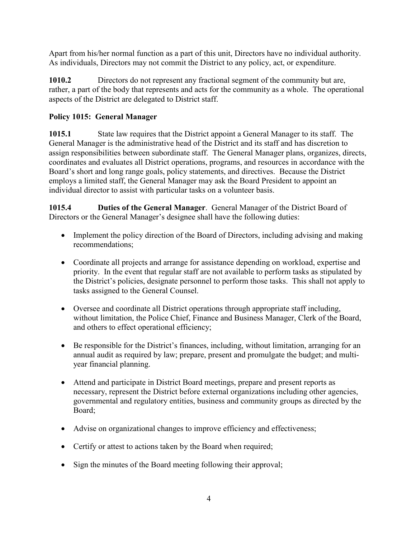Apart from his/her normal function as a part of this unit, Directors have no individual authority. As individuals, Directors may not commit the District to any policy, act, or expenditure.

**1010.2** Directors do not represent any fractional segment of the community but are, rather, a part of the body that represents and acts for the community as a whole. The operational aspects of the District are delegated to District staff.

#### **Policy 1015: General Manager**

**1015.1** State law requires that the District appoint a General Manager to its staff. The General Manager is the administrative head of the District and its staff and has discretion to assign responsibilities between subordinate staff. The General Manager plans, organizes, directs, coordinates and evaluates all District operations, programs, and resources in accordance with the Board's short and long range goals, policy statements, and directives. Because the District employs a limited staff, the General Manager may ask the Board President to appoint an individual director to assist with particular tasks on a volunteer basis.

**1015.4 Duties of the General Manager**. General Manager of the District Board of Directors or the General Manager's designee shall have the following duties:

- Implement the policy direction of the Board of Directors, including advising and making recommendations;
- Coordinate all projects and arrange for assistance depending on workload, expertise and priority. In the event that regular staff are not available to perform tasks as stipulated by the District's policies, designate personnel to perform those tasks. This shall not apply to tasks assigned to the General Counsel.
- Oversee and coordinate all District operations through appropriate staff including, without limitation, the Police Chief, Finance and Business Manager, Clerk of the Board, and others to effect operational efficiency;
- Be responsible for the District's finances, including, without limitation, arranging for an annual audit as required by law; prepare, present and promulgate the budget; and multiyear financial planning.
- Attend and participate in District Board meetings, prepare and present reports as necessary, represent the District before external organizations including other agencies, governmental and regulatory entities, business and community groups as directed by the Board;
- Advise on organizational changes to improve efficiency and effectiveness;
- Certify or attest to actions taken by the Board when required;
- Sign the minutes of the Board meeting following their approval;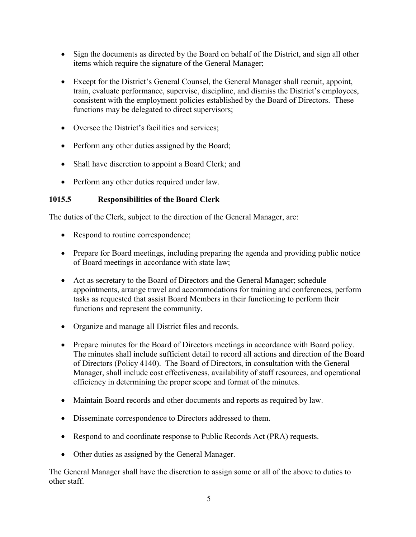- Sign the documents as directed by the Board on behalf of the District, and sign all other items which require the signature of the General Manager;
- Except for the District's General Counsel, the General Manager shall recruit, appoint, train, evaluate performance, supervise, discipline, and dismiss the District's employees, consistent with the employment policies established by the Board of Directors. These functions may be delegated to direct supervisors;
- Oversee the District's facilities and services:
- Perform any other duties assigned by the Board;
- Shall have discretion to appoint a Board Clerk; and
- Perform any other duties required under law.

#### **1015.5 Responsibilities of the Board Clerk**

The duties of the Clerk, subject to the direction of the General Manager, are:

- Respond to routine correspondence;
- Prepare for Board meetings, including preparing the agenda and providing public notice of Board meetings in accordance with state law;
- Act as secretary to the Board of Directors and the General Manager; schedule appointments, arrange travel and accommodations for training and conferences, perform tasks as requested that assist Board Members in their functioning to perform their functions and represent the community.
- Organize and manage all District files and records.
- Prepare minutes for the Board of Directors meetings in accordance with Board policy. The minutes shall include sufficient detail to record all actions and direction of the Board of Directors (Policy 4140). The Board of Directors, in consultation with the General Manager, shall include cost effectiveness, availability of staff resources, and operational efficiency in determining the proper scope and format of the minutes.
- Maintain Board records and other documents and reports as required by law.
- Disseminate correspondence to Directors addressed to them.
- Respond to and coordinate response to Public Records Act (PRA) requests.
- Other duties as assigned by the General Manager.

The General Manager shall have the discretion to assign some or all of the above to duties to other staff.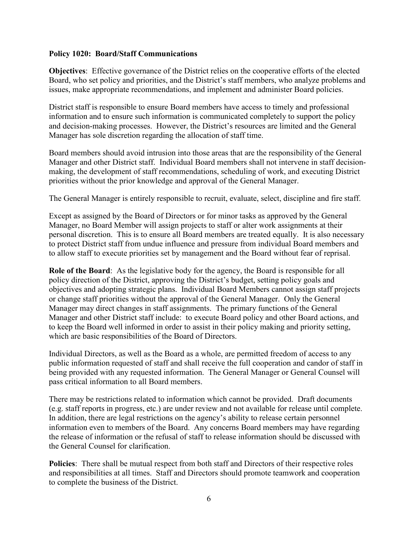#### **Policy 1020: Board/Staff Communications**

**Objectives**: Effective governance of the District relies on the cooperative efforts of the elected Board, who set policy and priorities, and the District's staff members, who analyze problems and issues, make appropriate recommendations, and implement and administer Board policies.

District staff is responsible to ensure Board members have access to timely and professional information and to ensure such information is communicated completely to support the policy and decision-making processes. However, the District's resources are limited and the General Manager has sole discretion regarding the allocation of staff time.

Board members should avoid intrusion into those areas that are the responsibility of the General Manager and other District staff. Individual Board members shall not intervene in staff decisionmaking, the development of staff recommendations, scheduling of work, and executing District priorities without the prior knowledge and approval of the General Manager.

The General Manager is entirely responsible to recruit, evaluate, select, discipline and fire staff.

Except as assigned by the Board of Directors or for minor tasks as approved by the General Manager, no Board Member will assign projects to staff or alter work assignments at their personal discretion. This is to ensure all Board members are treated equally. It is also necessary to protect District staff from undue influence and pressure from individual Board members and to allow staff to execute priorities set by management and the Board without fear of reprisal.

**Role of the Board**: As the legislative body for the agency, the Board is responsible for all policy direction of the District, approving the District's budget, setting policy goals and objectives and adopting strategic plans. Individual Board Members cannot assign staff projects or change staff priorities without the approval of the General Manager. Only the General Manager may direct changes in staff assignments. The primary functions of the General Manager and other District staff include: to execute Board policy and other Board actions, and to keep the Board well informed in order to assist in their policy making and priority setting, which are basic responsibilities of the Board of Directors.

Individual Directors, as well as the Board as a whole, are permitted freedom of access to any public information requested of staff and shall receive the full cooperation and candor of staff in being provided with any requested information. The General Manager or General Counsel will pass critical information to all Board members.

There may be restrictions related to information which cannot be provided. Draft documents (e.g. staff reports in progress, etc.) are under review and not available for release until complete. In addition, there are legal restrictions on the agency's ability to release certain personnel information even to members of the Board. Any concerns Board members may have regarding the release of information or the refusal of staff to release information should be discussed with the General Counsel for clarification.

**Policies**: There shall be mutual respect from both staff and Directors of their respective roles and responsibilities at all times. Staff and Directors should promote teamwork and cooperation to complete the business of the District.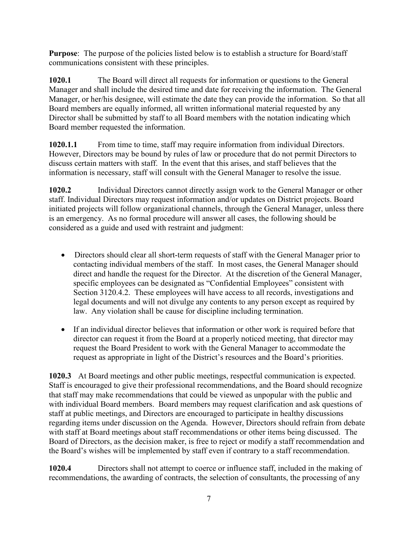**Purpose**: The purpose of the policies listed below is to establish a structure for Board/staff communications consistent with these principles.

**1020.1** The Board will direct all requests for information or questions to the General Manager and shall include the desired time and date for receiving the information. The General Manager, or her/his designee, will estimate the date they can provide the information. So that all Board members are equally informed, all written informational material requested by any Director shall be submitted by staff to all Board members with the notation indicating which Board member requested the information.

**1020.1.1** From time to time, staff may require information from individual Directors. However, Directors may be bound by rules of law or procedure that do not permit Directors to discuss certain matters with staff. In the event that this arises, and staff believes that the information is necessary, staff will consult with the General Manager to resolve the issue.

**1020.2** Individual Directors cannot directly assign work to the General Manager or other staff. Individual Directors may request information and/or updates on District projects. Board initiated projects will follow organizational channels, through the General Manager, unless there is an emergency. As no formal procedure will answer all cases, the following should be considered as a guide and used with restraint and judgment:

- Directors should clear all short-term requests of staff with the General Manager prior to contacting individual members of the staff. In most cases, the General Manager should direct and handle the request for the Director. At the discretion of the General Manager, specific employees can be designated as "Confidential Employees" consistent with Section 3120.4.2. These employees will have access to all records, investigations and legal documents and will not divulge any contents to any person except as required by law. Any violation shall be cause for discipline including termination.
- If an individual director believes that information or other work is required before that director can request it from the Board at a properly noticed meeting, that director may request the Board President to work with the General Manager to accommodate the request as appropriate in light of the District's resources and the Board's priorities.

**1020.3** At Board meetings and other public meetings, respectful communication is expected. Staff is encouraged to give their professional recommendations, and the Board should recognize that staff may make recommendations that could be viewed as unpopular with the public and with individual Board members. Board members may request clarification and ask questions of staff at public meetings, and Directors are encouraged to participate in healthy discussions regarding items under discussion on the Agenda. However, Directors should refrain from debate with staff at Board meetings about staff recommendations or other items being discussed. The Board of Directors, as the decision maker, is free to reject or modify a staff recommendation and the Board's wishes will be implemented by staff even if contrary to a staff recommendation.

**1020.4** Directors shall not attempt to coerce or influence staff, included in the making of recommendations, the awarding of contracts, the selection of consultants, the processing of any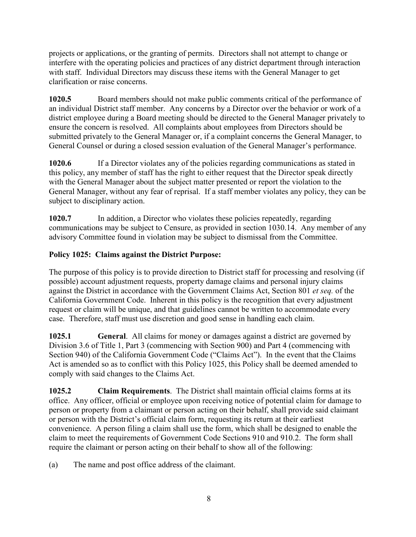projects or applications, or the granting of permits. Directors shall not attempt to change or interfere with the operating policies and practices of any district department through interaction with staff. Individual Directors may discuss these items with the General Manager to get clarification or raise concerns.

**1020.5** Board members should not make public comments critical of the performance of an individual District staff member. Any concerns by a Director over the behavior or work of a district employee during a Board meeting should be directed to the General Manager privately to ensure the concern is resolved. All complaints about employees from Directors should be submitted privately to the General Manager or, if a complaint concerns the General Manager, to General Counsel or during a closed session evaluation of the General Manager's performance.

**1020.6** If a Director violates any of the policies regarding communications as stated in this policy, any member of staff has the right to either request that the Director speak directly with the General Manager about the subject matter presented or report the violation to the General Manager, without any fear of reprisal. If a staff member violates any policy, they can be subject to disciplinary action.

**1020.7** In addition, a Director who violates these policies repeatedly, regarding communications may be subject to Censure, as provided in section 1030.14. Any member of any advisory Committee found in violation may be subject to dismissal from the Committee.

#### **Policy 1025: Claims against the District Purpose:**

The purpose of this policy is to provide direction to District staff for processing and resolving (if possible) account adjustment requests, property damage claims and personal injury claims against the District in accordance with the Government Claims Act, Section 801 *et seq.* of the California Government Code. Inherent in this policy is the recognition that every adjustment request or claim will be unique, and that guidelines cannot be written to accommodate every case. Therefore, staff must use discretion and good sense in handling each claim.

**1025.1 General**. All claims for money or damages against a district are governed by Division 3.6 of Title 1, Part 3 (commencing with Section 900) and Part 4 (commencing with Section 940) of the California Government Code ("Claims Act"). In the event that the Claims Act is amended so as to conflict with this Policy 1025, this Policy shall be deemed amended to comply with said changes to the Claims Act.

**1025.2 Claim Requirements**. The District shall maintain official claims forms at its office. Any officer, official or employee upon receiving notice of potential claim for damage to person or property from a claimant or person acting on their behalf, shall provide said claimant or person with the District's official claim form, requesting its return at their earliest convenience. A person filing a claim shall use the form, which shall be designed to enable the claim to meet the requirements of Government Code Sections 910 and 910.2. The form shall require the claimant or person acting on their behalf to show all of the following:

(a) The name and post office address of the claimant.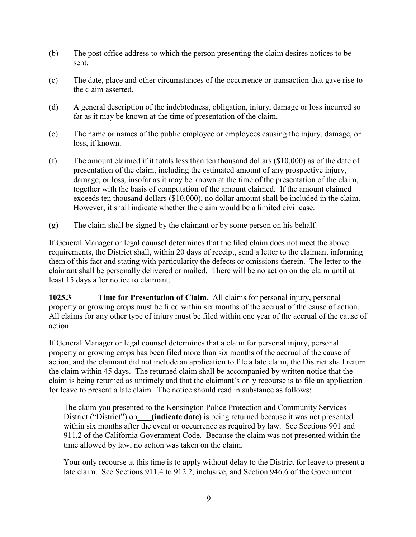- (b) The post office address to which the person presenting the claim desires notices to be sent.
- (c) The date, place and other circumstances of the occurrence or transaction that gave rise to the claim asserted.
- (d) A general description of the indebtedness, obligation, injury, damage or loss incurred so far as it may be known at the time of presentation of the claim.
- (e) The name or names of the public employee or employees causing the injury, damage, or loss, if known.
- (f) The amount claimed if it totals less than ten thousand dollars (\$10,000) as of the date of presentation of the claim, including the estimated amount of any prospective injury, damage, or loss, insofar as it may be known at the time of the presentation of the claim, together with the basis of computation of the amount claimed. If the amount claimed exceeds ten thousand dollars (\$10,000), no dollar amount shall be included in the claim. However, it shall indicate whether the claim would be a limited civil case.
- (g) The claim shall be signed by the claimant or by some person on his behalf.

If General Manager or legal counsel determines that the filed claim does not meet the above requirements, the District shall, within 20 days of receipt, send a letter to the claimant informing them of this fact and stating with particularity the defects or omissions therein. The letter to the claimant shall be personally delivered or mailed. There will be no action on the claim until at least 15 days after notice to claimant.

**1025.3 Time for Presentation of Claim**. All claims for personal injury, personal property or growing crops must be filed within six months of the accrual of the cause of action. All claims for any other type of injury must be filed within one year of the accrual of the cause of action.

If General Manager or legal counsel determines that a claim for personal injury, personal property or growing crops has been filed more than six months of the accrual of the cause of action, and the claimant did not include an application to file a late claim, the District shall return the claim within 45 days. The returned claim shall be accompanied by written notice that the claim is being returned as untimely and that the claimant's only recourse is to file an application for leave to present a late claim. The notice should read in substance as follows:

The claim you presented to the Kensington Police Protection and Community Services District ("District") on **(indicate date)** is being returned because it was not presented within six months after the event or occurrence as required by law. See Sections 901 and 911.2 of the California Government Code. Because the claim was not presented within the time allowed by law, no action was taken on the claim.

Your only recourse at this time is to apply without delay to the District for leave to present a late claim. See Sections 911.4 to 912.2, inclusive, and Section 946.6 of the Government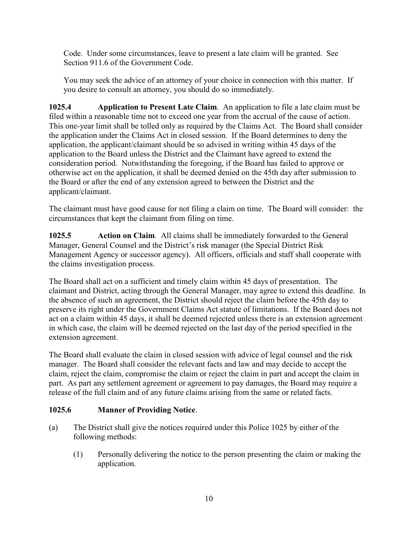Code. Under some circumstances, leave to present a late claim will be granted. See Section 911.6 of the Government Code.

You may seek the advice of an attorney of your choice in connection with this matter. If you desire to consult an attorney, you should do so immediately.

**1025.4 Application to Present Late Claim**. An application to file a late claim must be filed within a reasonable time not to exceed one year from the accrual of the cause of action. This one-year limit shall be tolled only as required by the Claims Act. The Board shall consider the application under the Claims Act in closed session. If the Board determines to deny the application, the applicant/claimant should be so advised in writing within 45 days of the application to the Board unless the District and the Claimant have agreed to extend the consideration period. Notwithstanding the foregoing, if the Board has failed to approve or otherwise act on the application, it shall be deemed denied on the 45th day after submission to the Board or after the end of any extension agreed to between the District and the applicant/claimant.

The claimant must have good cause for not filing a claim on time. The Board will consider: the circumstances that kept the claimant from filing on time.

**1025.5 Action on Claim**. All claims shall be immediately forwarded to the General Manager, General Counsel and the District's risk manager (the Special District Risk Management Agency or successor agency). All officers, officials and staff shall cooperate with the claims investigation process.

The Board shall act on a sufficient and timely claim within 45 days of presentation. The claimant and District, acting through the General Manager, may agree to extend this deadline. In the absence of such an agreement, the District should reject the claim before the 45th day to preserve its right under the Government Claims Act statute of limitations. If the Board does not act on a claim within 45 days, it shall be deemed rejected unless there is an extension agreement in which case, the claim will be deemed rejected on the last day of the period specified in the extension agreement.

The Board shall evaluate the claim in closed session with advice of legal counsel and the risk manager. The Board shall consider the relevant facts and law and may decide to accept the claim, reject the claim, compromise the claim or reject the claim in part and accept the claim in part. As part any settlement agreement or agreement to pay damages, the Board may require a release of the full claim and of any future claims arising from the same or related facts.

#### **1025.6 Manner of Providing Notice**.

- (a) The District shall give the notices required under this Police 1025 by either of the following methods:
	- (1) Personally delivering the notice to the person presenting the claim or making the application.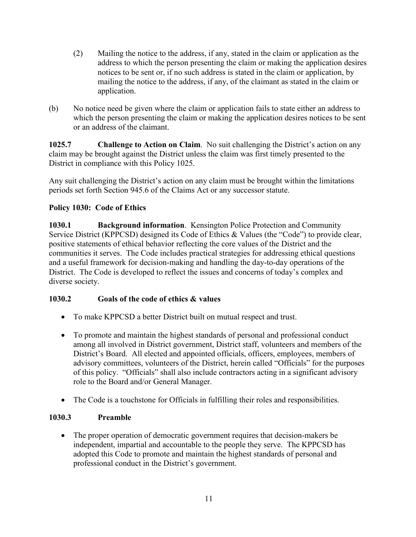- (2) Mailing the notice to the address, if any, stated in the claim or application as the address to which the person presenting the claim or making the application desires notices to be sent or, if no such address is stated in the claim or application, by mailing the notice to the address, if any, of the claimant as stated in the claim or application.
- (b) No notice need be given where the claim or application fails to state either an address to which the person presenting the claim or making the application desires notices to be sent or an address of the claimant.

**1025.7 Challenge to Action on Claim**. No suit challenging the District's action on any claim may be brought against the District unless the claim was first timely presented to the District in compliance with this Policy 1025.

Any suit challenging the District's action on any claim must be brought within the limitations periods set forth Section 945.6 of the Claims Act or any successor statute.

#### **Policy 1030: Code of Ethics**

**1030.1 Background information**. Kensington Police Protection and Community Service District (KPPCSD) designed its Code of Ethics & Values (the "Code") to provide clear, positive statements of ethical behavior reflecting the core values of the District and the communities it serves. The Code includes practical strategies for addressing ethical questions and a useful framework for decision-making and handling the day-to-day operations of the District. The Code is developed to reflect the issues and concerns of today's complex and diverse society.

#### **1030.2 Goals of the code of ethics & values**

- To make KPPCSD a better District built on mutual respect and trust.
- To promote and maintain the highest standards of personal and professional conduct among all involved in District government, District staff, volunteers and members of the District's Board. All elected and appointed officials, officers, employees, members of advisory committees, volunteers of the District, herein called "Officials" for the purposes of this policy. "Officials" shall also include contractors acting in a significant advisory role to the Board and/or General Manager.
- The Code is a touchstone for Officials in fulfilling their roles and responsibilities.

#### **1030.3 Preamble**

• The proper operation of democratic government requires that decision-makers be independent, impartial and accountable to the people they serve. The KPPCSD has adopted this Code to promote and maintain the highest standards of personal and professional conduct in the District's government.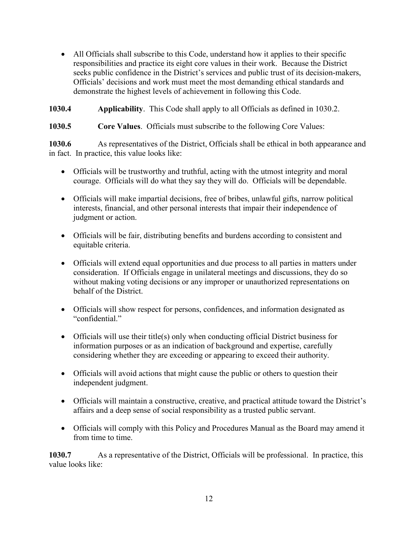- All Officials shall subscribe to this Code, understand how it applies to their specific responsibilities and practice its eight core values in their work. Because the District seeks public confidence in the District's services and public trust of its decision-makers, Officials' decisions and work must meet the most demanding ethical standards and demonstrate the highest levels of achievement in following this Code.
- **1030.4 Applicability**. This Code shall apply to all Officials as defined in 1030.2.

#### **1030.5 Core Values**. Officials must subscribe to the following Core Values:

**1030.6** As representatives of the District, Officials shall be ethical in both appearance and in fact. In practice, this value looks like:

- Officials will be trustworthy and truthful, acting with the utmost integrity and moral courage. Officials will do what they say they will do. Officials will be dependable.
- Officials will make impartial decisions, free of bribes, unlawful gifts, narrow political interests, financial, and other personal interests that impair their independence of judgment or action.
- Officials will be fair, distributing benefits and burdens according to consistent and equitable criteria.
- Officials will extend equal opportunities and due process to all parties in matters under consideration. If Officials engage in unilateral meetings and discussions, they do so without making voting decisions or any improper or unauthorized representations on behalf of the District.
- Officials will show respect for persons, confidences, and information designated as "confidential."
- Officials will use their title(s) only when conducting official District business for information purposes or as an indication of background and expertise, carefully considering whether they are exceeding or appearing to exceed their authority.
- Officials will avoid actions that might cause the public or others to question their independent judgment.
- Officials will maintain a constructive, creative, and practical attitude toward the District's affairs and a deep sense of social responsibility as a trusted public servant.
- Officials will comply with this Policy and Procedures Manual as the Board may amend it from time to time.

**1030.7** As a representative of the District, Officials will be professional. In practice, this value looks like: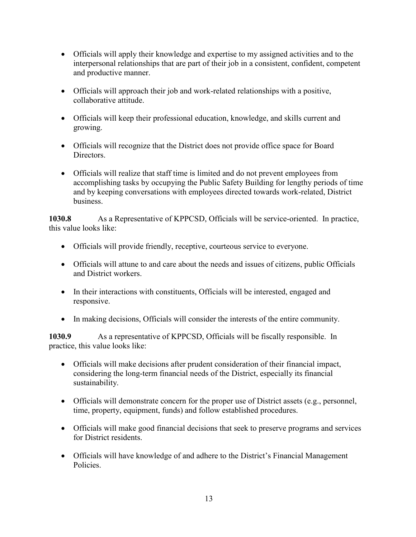- Officials will apply their knowledge and expertise to my assigned activities and to the interpersonal relationships that are part of their job in a consistent, confident, competent and productive manner.
- Officials will approach their job and work-related relationships with a positive, collaborative attitude.
- Officials will keep their professional education, knowledge, and skills current and growing.
- Officials will recognize that the District does not provide office space for Board Directors.
- Officials will realize that staff time is limited and do not prevent employees from accomplishing tasks by occupying the Public Safety Building for lengthy periods of time and by keeping conversations with employees directed towards work-related, District business.

**1030.8** As a Representative of KPPCSD, Officials will be service-oriented. In practice, this value looks like:

- Officials will provide friendly, receptive, courteous service to everyone.
- Officials will attune to and care about the needs and issues of citizens, public Officials and District workers.
- In their interactions with constituents, Officials will be interested, engaged and responsive.
- In making decisions, Officials will consider the interests of the entire community.

**1030.9** As a representative of KPPCSD, Officials will be fiscally responsible. In practice, this value looks like:

- Officials will make decisions after prudent consideration of their financial impact, considering the long-term financial needs of the District, especially its financial sustainability.
- Officials will demonstrate concern for the proper use of District assets (e.g., personnel, time, property, equipment, funds) and follow established procedures.
- Officials will make good financial decisions that seek to preserve programs and services for District residents.
- Officials will have knowledge of and adhere to the District's Financial Management Policies.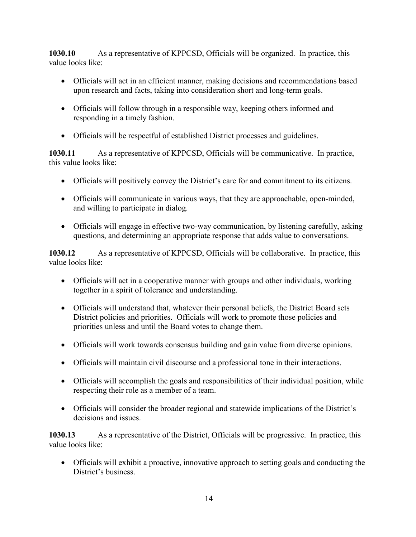**1030.10** As a representative of KPPCSD, Officials will be organized. In practice, this value looks like:

- Officials will act in an efficient manner, making decisions and recommendations based upon research and facts, taking into consideration short and long-term goals.
- Officials will follow through in a responsible way, keeping others informed and responding in a timely fashion.
- Officials will be respectful of established District processes and guidelines.

**1030.11** As a representative of KPPCSD, Officials will be communicative. In practice, this value looks like:

- Officials will positively convey the District's care for and commitment to its citizens.
- Officials will communicate in various ways, that they are approachable, open-minded, and willing to participate in dialog.
- Officials will engage in effective two-way communication, by listening carefully, asking questions, and determining an appropriate response that adds value to conversations.

**1030.12** As a representative of KPPCSD, Officials will be collaborative. In practice, this value looks like:

- Officials will act in a cooperative manner with groups and other individuals, working together in a spirit of tolerance and understanding.
- Officials will understand that, whatever their personal beliefs, the District Board sets District policies and priorities. Officials will work to promote those policies and priorities unless and until the Board votes to change them.
- Officials will work towards consensus building and gain value from diverse opinions.
- Officials will maintain civil discourse and a professional tone in their interactions.
- Officials will accomplish the goals and responsibilities of their individual position, while respecting their role as a member of a team.
- Officials will consider the broader regional and statewide implications of the District's decisions and issues.

**1030.13** As a representative of the District, Officials will be progressive. In practice, this value looks like:

• Officials will exhibit a proactive, innovative approach to setting goals and conducting the District's business.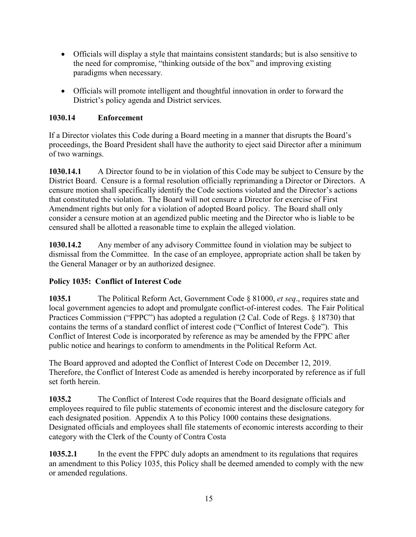- Officials will display a style that maintains consistent standards; but is also sensitive to the need for compromise, "thinking outside of the box" and improving existing paradigms when necessary.
- Officials will promote intelligent and thoughtful innovation in order to forward the District's policy agenda and District services.

#### **1030.14 Enforcement**

If a Director violates this Code during a Board meeting in a manner that disrupts the Board's proceedings, the Board President shall have the authority to eject said Director after a minimum of two warnings.

**1030.14.1** A Director found to be in violation of this Code may be subject to Censure by the District Board. Censure is a formal resolution officially reprimanding a Director or Directors. A censure motion shall specifically identify the Code sections violated and the Director's actions that constituted the violation. The Board will not censure a Director for exercise of First Amendment rights but only for a violation of adopted Board policy. The Board shall only consider a censure motion at an agendized public meeting and the Director who is liable to be censured shall be allotted a reasonable time to explain the alleged violation.

**1030.14.2** Any member of any advisory Committee found in violation may be subject to dismissal from the Committee. In the case of an employee, appropriate action shall be taken by the General Manager or by an authorized designee.

#### **Policy 1035: Conflict of Interest Code**

**1035.1** The Political Reform Act, Government Code § 81000, *et seq*., requires state and local government agencies to adopt and promulgate conflict-of-interest codes. The Fair Political Practices Commission ("FPPC") has adopted a regulation (2 Cal. Code of Regs. § 18730) that contains the terms of a standard conflict of interest code ("Conflict of Interest Code"). This Conflict of Interest Code is incorporated by reference as may be amended by the FPPC after public notice and hearings to conform to amendments in the Political Reform Act.

The Board approved and adopted the Conflict of Interest Code on December 12, 2019. Therefore, the Conflict of Interest Code as amended is hereby incorporated by reference as if full set forth herein.

**1035.2** The Conflict of Interest Code requires that the Board designate officials and employees required to file public statements of economic interest and the disclosure category for each designated position. Appendix A to this Policy 1000 contains these designations. Designated officials and employees shall file statements of economic interests according to their category with the Clerk of the County of Contra Costa

**1035.2.1** In the event the FPPC duly adopts an amendment to its regulations that requires an amendment to this Policy 1035, this Policy shall be deemed amended to comply with the new or amended regulations.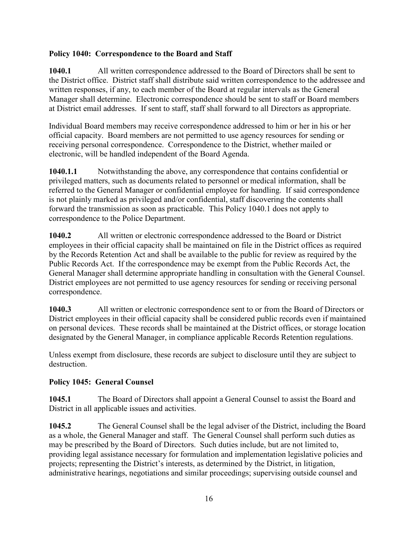#### **Policy 1040: Correspondence to the Board and Staff**

**1040.1** All written correspondence addressed to the Board of Directors shall be sent to the District office. District staff shall distribute said written correspondence to the addressee and written responses, if any, to each member of the Board at regular intervals as the General Manager shall determine. Electronic correspondence should be sent to staff or Board members at District email addresses. If sent to staff, staff shall forward to all Directors as appropriate.

Individual Board members may receive correspondence addressed to him or her in his or her official capacity. Board members are not permitted to use agency resources for sending or receiving personal correspondence. Correspondence to the District, whether mailed or electronic, will be handled independent of the Board Agenda.

**1040.1.1** Notwithstanding the above, any correspondence that contains confidential or privileged matters, such as documents related to personnel or medical information, shall be referred to the General Manager or confidential employee for handling. If said correspondence is not plainly marked as privileged and/or confidential, staff discovering the contents shall forward the transmission as soon as practicable. This Policy 1040.1 does not apply to correspondence to the Police Department.

**1040.2** All written or electronic correspondence addressed to the Board or District employees in their official capacity shall be maintained on file in the District offices as required by the Records Retention Act and shall be available to the public for review as required by the Public Records Act. If the correspondence may be exempt from the Public Records Act, the General Manager shall determine appropriate handling in consultation with the General Counsel. District employees are not permitted to use agency resources for sending or receiving personal correspondence.

**1040.3** All written or electronic correspondence sent to or from the Board of Directors or District employees in their official capacity shall be considered public records even if maintained on personal devices. These records shall be maintained at the District offices, or storage location designated by the General Manager, in compliance applicable Records Retention regulations.

Unless exempt from disclosure, these records are subject to disclosure until they are subject to destruction.

#### **Policy 1045: General Counsel**

**1045.1** The Board of Directors shall appoint a General Counsel to assist the Board and District in all applicable issues and activities.

**1045.2** The General Counsel shall be the legal adviser of the District, including the Board as a whole, the General Manager and staff. The General Counsel shall perform such duties as may be prescribed by the Board of Directors. Such duties include, but are not limited to, providing legal assistance necessary for formulation and implementation legislative policies and projects; representing the District's interests, as determined by the District, in litigation, administrative hearings, negotiations and similar proceedings; supervising outside counsel and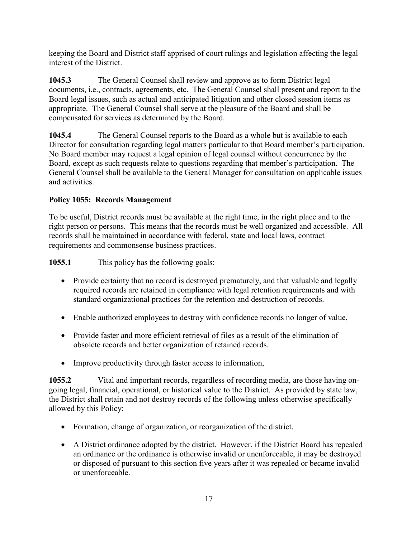keeping the Board and District staff apprised of court rulings and legislation affecting the legal interest of the District.

**1045.3** The General Counsel shall review and approve as to form District legal documents, i.e., contracts, agreements, etc. The General Counsel shall present and report to the Board legal issues, such as actual and anticipated litigation and other closed session items as appropriate. The General Counsel shall serve at the pleasure of the Board and shall be compensated for services as determined by the Board.

**1045.4** The General Counsel reports to the Board as a whole but is available to each Director for consultation regarding legal matters particular to that Board member's participation. No Board member may request a legal opinion of legal counsel without concurrence by the Board, except as such requests relate to questions regarding that member's participation. The General Counsel shall be available to the General Manager for consultation on applicable issues and activities.

#### **Policy 1055: Records Management**

To be useful, District records must be available at the right time, in the right place and to the right person or persons. This means that the records must be well organized and accessible. All records shall be maintained in accordance with federal, state and local laws, contract requirements and commonsense business practices.

**1055.1** This policy has the following goals:

- Provide certainty that no record is destroyed prematurely, and that valuable and legally required records are retained in compliance with legal retention requirements and with standard organizational practices for the retention and destruction of records.
- Enable authorized employees to destroy with confidence records no longer of value,
- Provide faster and more efficient retrieval of files as a result of the elimination of obsolete records and better organization of retained records.
- Improve productivity through faster access to information,

**1055.2** Vital and important records, regardless of recording media, are those having ongoing legal, financial, operational, or historical value to the District. As provided by state law, the District shall retain and not destroy records of the following unless otherwise specifically allowed by this Policy:

- Formation, change of organization, or reorganization of the district.
- A District ordinance adopted by the district. However, if the District Board has repealed an ordinance or the ordinance is otherwise invalid or unenforceable, it may be destroyed or disposed of pursuant to this section five years after it was repealed or became invalid or unenforceable.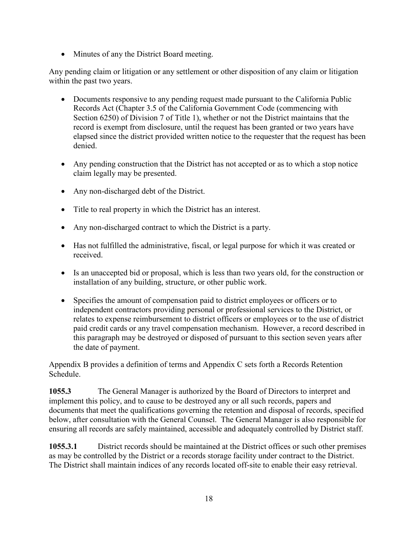• Minutes of any the District Board meeting.

Any pending claim or litigation or any settlement or other disposition of any claim or litigation within the past two years.

- Documents responsive to any pending request made pursuant to the California Public Records Act (Chapter 3.5 of the California Government Code (commencing with Section 6250) of Division 7 of Title 1), whether or not the District maintains that the record is exempt from disclosure, until the request has been granted or two years have elapsed since the district provided written notice to the requester that the request has been denied.
- Any pending construction that the District has not accepted or as to which a stop notice claim legally may be presented.
- Any non-discharged debt of the District.
- Title to real property in which the District has an interest.
- Any non-discharged contract to which the District is a party.
- Has not fulfilled the administrative, fiscal, or legal purpose for which it was created or received.
- Is an unaccepted bid or proposal, which is less than two years old, for the construction or installation of any building, structure, or other public work.
- Specifies the amount of compensation paid to district employees or officers or to independent contractors providing personal or professional services to the District, or relates to expense reimbursement to district officers or employees or to the use of district paid credit cards or any travel compensation mechanism. However, a record described in this paragraph may be destroyed or disposed of pursuant to this section seven years after the date of payment.

Appendix B provides a definition of terms and Appendix C sets forth a Records Retention Schedule.

**1055.3** The General Manager is authorized by the Board of Directors to interpret and implement this policy, and to cause to be destroyed any or all such records, papers and documents that meet the qualifications governing the retention and disposal of records, specified below, after consultation with the General Counsel. The General Manager is also responsible for ensuring all records are safely maintained, accessible and adequately controlled by District staff.

**1055.3.1** District records should be maintained at the District offices or such other premises as may be controlled by the District or a records storage facility under contract to the District. The District shall maintain indices of any records located off-site to enable their easy retrieval.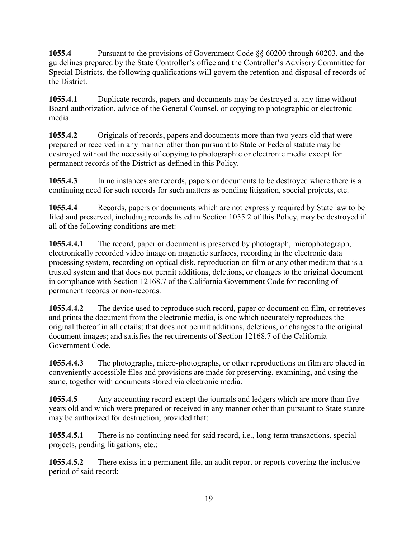**1055.4** Pursuant to the provisions of Government Code §§ 60200 through 60203, and the guidelines prepared by the State Controller's office and the Controller's Advisory Committee for Special Districts, the following qualifications will govern the retention and disposal of records of the District.

**1055.4.1** Duplicate records, papers and documents may be destroyed at any time without Board authorization, advice of the General Counsel, or copying to photographic or electronic media.

**1055.4.2** Originals of records, papers and documents more than two years old that were prepared or received in any manner other than pursuant to State or Federal statute may be destroyed without the necessity of copying to photographic or electronic media except for permanent records of the District as defined in this Policy.

**1055.4.3** In no instances are records, papers or documents to be destroyed where there is a continuing need for such records for such matters as pending litigation, special projects, etc.

**1055.4.4** Records, papers or documents which are not expressly required by State law to be filed and preserved, including records listed in Section 1055.2 of this Policy, may be destroyed if all of the following conditions are met:

**1055.4.4.1** The record, paper or document is preserved by photograph, microphotograph, electronically recorded video image on magnetic surfaces, recording in the electronic data processing system, recording on optical disk, reproduction on film or any other medium that is a trusted system and that does not permit additions, deletions, or changes to the original document in compliance with Section 12168.7 of the California Government Code for recording of permanent records or non-records.

**1055.4.4.2** The device used to reproduce such record, paper or document on film, or retrieves and prints the document from the electronic media, is one which accurately reproduces the original thereof in all details; that does not permit additions, deletions, or changes to the original document images; and satisfies the requirements of Section 12168.7 of the California Government Code.

**1055.4.4.3** The photographs, micro-photographs, or other reproductions on film are placed in conveniently accessible files and provisions are made for preserving, examining, and using the same, together with documents stored via electronic media.

**1055.4.5** Any accounting record except the journals and ledgers which are more than five years old and which were prepared or received in any manner other than pursuant to State statute may be authorized for destruction, provided that:

**1055.4.5.1** There is no continuing need for said record, i.e., long-term transactions, special projects, pending litigations, etc.;

**1055.4.5.2** There exists in a permanent file, an audit report or reports covering the inclusive period of said record;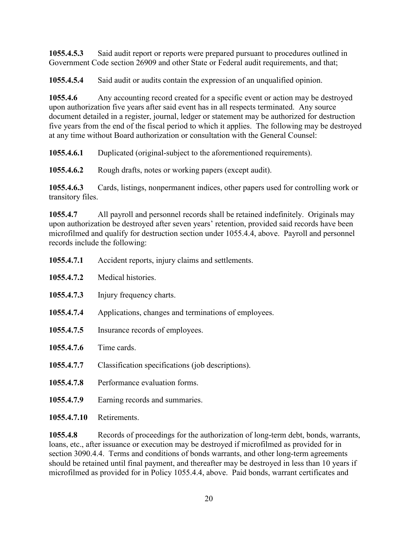**1055.4.5.3** Said audit report or reports were prepared pursuant to procedures outlined in Government Code section 26909 and other State or Federal audit requirements, and that;

**1055.4.5.4** Said audit or audits contain the expression of an unqualified opinion.

**1055.4.6** Any accounting record created for a specific event or action may be destroyed upon authorization five years after said event has in all respects terminated. Any source document detailed in a register, journal, ledger or statement may be authorized for destruction five years from the end of the fiscal period to which it applies. The following may be destroyed at any time without Board authorization or consultation with the General Counsel:

**1055.4.6.1** Duplicated (original-subject to the aforementioned requirements).

**1055.4.6.2** Rough drafts, notes or working papers (except audit).

**1055.4.6.3** Cards, listings, nonpermanent indices, other papers used for controlling work or transitory files.

**1055.4.7** All payroll and personnel records shall be retained indefinitely. Originals may upon authorization be destroyed after seven years' retention, provided said records have been microfilmed and qualify for destruction section under 1055.4.4, above. Payroll and personnel records include the following:

|             | Treefacily reported, in far, elantific and securements |
|-------------|--------------------------------------------------------|
| 1055.4.7.2  | Medical histories.                                     |
| 1055.4.7.3  | Injury frequency charts.                               |
| 1055.4.7.4  | Applications, changes and terminations of employees.   |
| 1055.4.7.5  | Insurance records of employees.                        |
| 1055.4.7.6  | Time cards.                                            |
| 1055.4.7.7  | Classification specifications (job descriptions).      |
| 1055.4.7.8  | Performance evaluation forms.                          |
| 1055.4.7.9  | Earning records and summaries.                         |
| 1055.4.7.10 | Retirements.                                           |

**1055.4.7.1** Accident reports, injury claims and settlements.

**1055.4.8** Records of proceedings for the authorization of long-term debt, bonds, warrants, loans, etc., after issuance or execution may be destroyed if microfilmed as provided for in section 3090.4.4. Terms and conditions of bonds warrants, and other long-term agreements should be retained until final payment, and thereafter may be destroyed in less than 10 years if microfilmed as provided for in Policy 1055.4.4, above. Paid bonds, warrant certificates and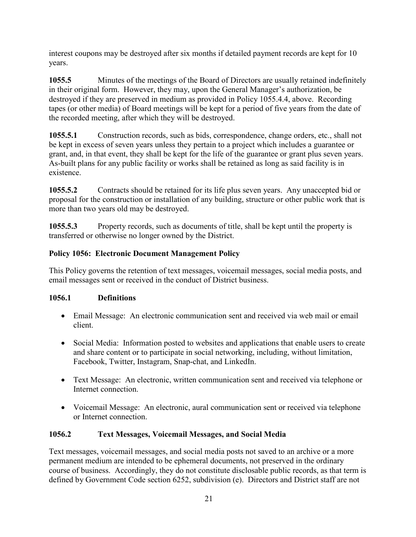interest coupons may be destroyed after six months if detailed payment records are kept for 10 years.

**1055.5** Minutes of the meetings of the Board of Directors are usually retained indefinitely in their original form. However, they may, upon the General Manager's authorization, be destroyed if they are preserved in medium as provided in Policy 1055.4.4, above. Recording tapes (or other media) of Board meetings will be kept for a period of five years from the date of the recorded meeting, after which they will be destroyed.

**1055.5.1** Construction records, such as bids, correspondence, change orders, etc., shall not be kept in excess of seven years unless they pertain to a project which includes a guarantee or grant, and, in that event, they shall be kept for the life of the guarantee or grant plus seven years. As-built plans for any public facility or works shall be retained as long as said facility is in existence.

**1055.5.2** Contracts should be retained for its life plus seven years. Any unaccepted bid or proposal for the construction or installation of any building, structure or other public work that is more than two years old may be destroyed.

**1055.5.3** Property records, such as documents of title, shall be kept until the property is transferred or otherwise no longer owned by the District.

#### **Policy 1056: Electronic Document Management Policy**

This Policy governs the retention of text messages, voicemail messages, social media posts, and email messages sent or received in the conduct of District business.

#### **1056.1 Definitions**

- Email Message: An electronic communication sent and received via web mail or email client.
- Social Media: Information posted to websites and applications that enable users to create and share content or to participate in social networking, including, without limitation, Facebook, Twitter, Instagram, Snap-chat, and LinkedIn.
- Text Message: An electronic, written communication sent and received via telephone or Internet connection.
- Voicemail Message: An electronic, aural communication sent or received via telephone or Internet connection.

#### **1056.2 Text Messages, Voicemail Messages, and Social Media**

Text messages, voicemail messages, and social media posts not saved to an archive or a more permanent medium are intended to be ephemeral documents, not preserved in the ordinary course of business. Accordingly, they do not constitute disclosable public records, as that term is defined by Government Code section 6252, subdivision (e). Directors and District staff are not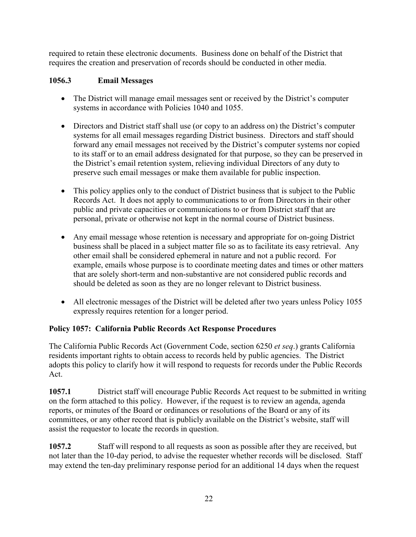required to retain these electronic documents. Business done on behalf of the District that requires the creation and preservation of records should be conducted in other media.

#### **1056.3 Email Messages**

- The District will manage email messages sent or received by the District's computer systems in accordance with Policies 1040 and 1055.
- Directors and District staff shall use (or copy to an address on) the District's computer systems for all email messages regarding District business. Directors and staff should forward any email messages not received by the District's computer systems nor copied to its staff or to an email address designated for that purpose, so they can be preserved in the District's email retention system, relieving individual Directors of any duty to preserve such email messages or make them available for public inspection.
- This policy applies only to the conduct of District business that is subject to the Public Records Act. It does not apply to communications to or from Directors in their other public and private capacities or communications to or from District staff that are personal, private or otherwise not kept in the normal course of District business.
- Any email message whose retention is necessary and appropriate for on-going District business shall be placed in a subject matter file so as to facilitate its easy retrieval. Any other email shall be considered ephemeral in nature and not a public record. For example, emails whose purpose is to coordinate meeting dates and times or other matters that are solely short-term and non-substantive are not considered public records and should be deleted as soon as they are no longer relevant to District business.
- All electronic messages of the District will be deleted after two years unless Policy 1055 expressly requires retention for a longer period.

#### **Policy 1057: California Public Records Act Response Procedures**

The California Public Records Act (Government Code, section 6250 *et seq*.) grants California residents important rights to obtain access to records held by public agencies. The District adopts this policy to clarify how it will respond to requests for records under the Public Records Act.

**1057.1** District staff will encourage Public Records Act request to be submitted in writing on the form attached to this policy. However, if the request is to review an agenda, agenda reports, or minutes of the Board or ordinances or resolutions of the Board or any of its committees, or any other record that is publicly available on the District's website, staff will assist the requestor to locate the records in question.

**1057.2** Staff will respond to all requests as soon as possible after they are received, but not later than the 10-day period, to advise the requester whether records will be disclosed. Staff may extend the ten-day preliminary response period for an additional 14 days when the request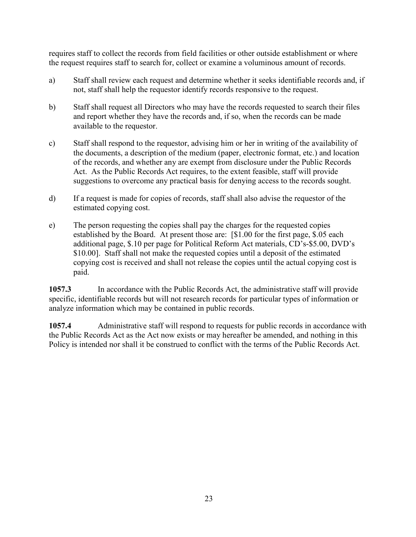requires staff to collect the records from field facilities or other outside establishment or where the request requires staff to search for, collect or examine a voluminous amount of records.

- a) Staff shall review each request and determine whether it seeks identifiable records and, if not, staff shall help the requestor identify records responsive to the request.
- b) Staff shall request all Directors who may have the records requested to search their files and report whether they have the records and, if so, when the records can be made available to the requestor.
- c) Staff shall respond to the requestor, advising him or her in writing of the availability of the documents, a description of the medium (paper, electronic format, etc.) and location of the records, and whether any are exempt from disclosure under the Public Records Act. As the Public Records Act requires, to the extent feasible, staff will provide suggestions to overcome any practical basis for denying access to the records sought.
- d) If a request is made for copies of records, staff shall also advise the requestor of the estimated copying cost.
- e) The person requesting the copies shall pay the charges for the requested copies established by the Board. At present those are: [\$1.00 for the first page, \$.05 each additional page, \$.10 per page for Political Reform Act materials, CD's-\$5.00, DVD's \$10.00]. Staff shall not make the requested copies until a deposit of the estimated copying cost is received and shall not release the copies until the actual copying cost is paid.

**1057.3** In accordance with the Public Records Act, the administrative staff will provide specific, identifiable records but will not research records for particular types of information or analyze information which may be contained in public records.

**1057.4** Administrative staff will respond to requests for public records in accordance with the Public Records Act as the Act now exists or may hereafter be amended, and nothing in this Policy is intended nor shall it be construed to conflict with the terms of the Public Records Act.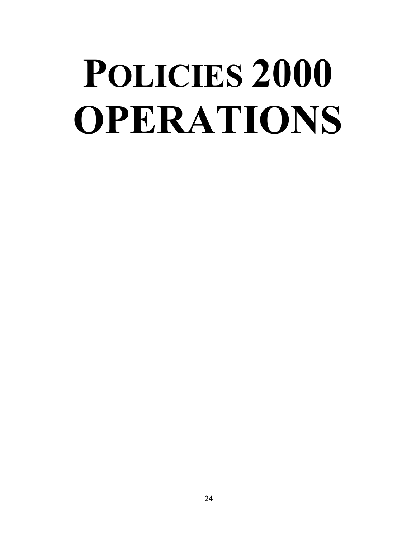## **POLICIES 2000 OPERATIONS**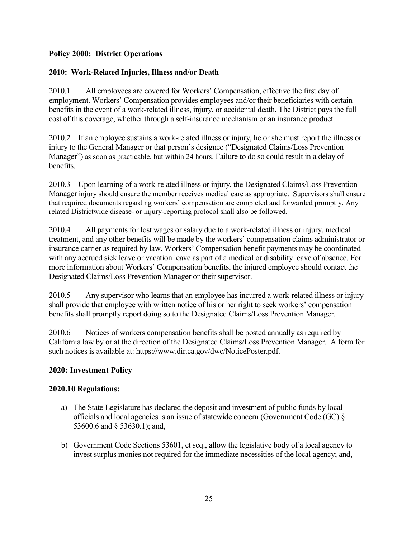#### **Policy 2000: District Operations**

#### **2010: Work-Related Injuries, Illness and/or Death**

2010.1 All employees are covered for Workers' Compensation, effective the first day of employment. Workers' Compensation provides employees and/or their beneficiaries with certain benefits in the event of a work-related illness, injury, or accidental death. The District pays the full cost of this coverage, whether through a self-insurance mechanism or an insurance product.

2010.2 If an employee sustains a work-related illness or injury, he or she must report the illness or injury to the General Manager or that person's designee ("Designated Claims/Loss Prevention Manager") as soon as practicable, but within 24 hours. Failure to do so could result in a delay of benefits.

2010.3 Upon learning of a work-related illness or injury, the Designated Claims/Loss Prevention Manager injury should ensure the member receives medical care as appropriate. Supervisors shall ensure that required documents regarding workers' compensation are completed and forwarded promptly. Any related Districtwide disease- or injury-reporting protocol shall also be followed.

2010.4 All payments for lost wages or salary due to a work-related illness or injury, medical treatment, and any other benefits will be made by the workers' compensation claims administrator or insurance carrier as required by law. Workers' Compensation benefit payments may be coordinated with any accrued sick leave or vacation leave as part of a medical or disability leave of absence. For more information about Workers' Compensation benefits, the injured employee should contact the Designated Claims/Loss Prevention Manager or their supervisor.

2010.5 Any supervisor who learns that an employee has incurred a work-related illness or injury shall provide that employee with written notice of his or her right to seek workers' compensation benefits shall promptly report doing so to the Designated Claims/Loss Prevention Manager.

2010.6 Notices of workers compensation benefits shall be posted annually as required by California law by or at the direction of the Designated Claims/Loss Prevention Manager. A form for such notices is available at: https://www.dir.ca.gov/dwc/NoticePoster.pdf.

#### **2020: Investment Policy**

#### **2020.10 Regulations:**

- a) The State Legislature has declared the deposit and investment of public funds by local officials and local agencies is an issue of statewide concern (Government Code (GC) § 53600.6 and § 53630.1); and,
- b) Government Code Sections 53601, et seq., allow the legislative body of a local agency to invest surplus monies not required for the immediate necessities of the local agency; and,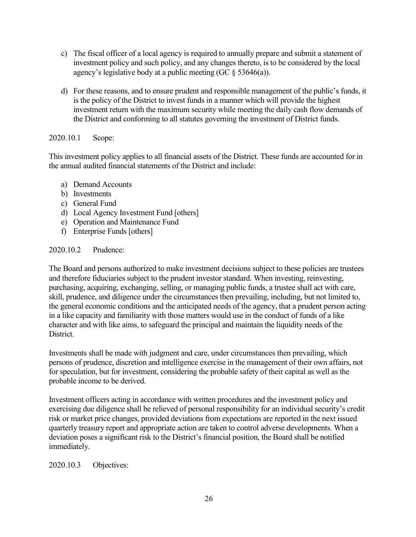- c) The fiscal officer of a local agency is required to annually prepare and submit a statement of investment policy and such policy, and any changes thereto, is to be considered by the local agency's legislative body at a public meeting (GC  $\S$  53646(a)).
- d) For these reasons, and to ensure prudent and responsible management of the public's funds, it is the policy of the District to invest funds in a manner which will provide the highest investment return with the maximum security while meeting the daily cash flow demands of the District and conforming to all statutes governing the investment of District funds.

#### 2020.10.1 Scope:

This investment policy applies to all financial assets of the District. These funds are accounted for in the annual audited financial statements of the District and include:

- a) Demand Accounts
- b) Investments
- c) General Fund
- d) Local Agency Investment Fund [others]
- e) Operation and Maintenance Fund
- f) Enterprise Funds [others]

#### 2020.10.2 Prudence:

The Board and persons authorized to make investment decisions subject to these policies are trustees and therefore fiduciaries subject to the prudent investor standard. When investing, reinvesting, purchasing, acquiring, exchanging, selling, or managing public funds, a trustee shall act with care, skill, prudence, and diligence under the circumstances then prevailing, including, but not limited to, the general economic conditions and the anticipated needs of the agency, that a prudent person acting in a like capacity and familiarity with those matters would use in the conduct of funds of a like character and with like aims, to safeguard the principal and maintain the liquidity needs of the District.

Investments shall be made with judgment and care, under circumstances then prevailing, which persons of prudence, discretion and intelligence exercise in the management of their own affairs, not for speculation, but for investment, considering the probable safety of their capital as well as the probable income to be derived.

Investment officers acting in accordance with written procedures and the investment policy and exercising due diligence shall be relieved of personal responsibility for an individual security's credit risk or market price changes, provided deviations from expectations are reported in the next issued quarterly treasury report and appropriate action are taken to control adverse developments. When a deviation poses a significant risk to the District's financial position, the Board shall be notified immediately.

#### 2020.10.3 Objectives: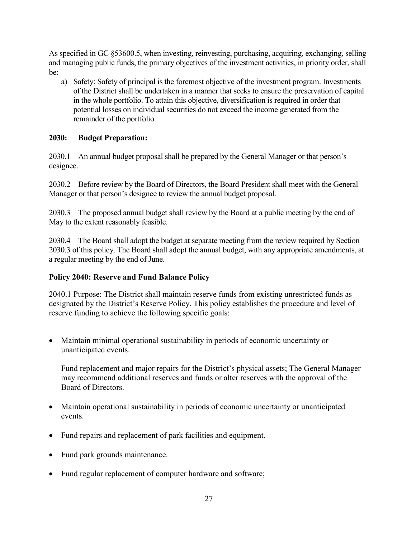As specified in GC §53600.5, when investing, reinvesting, purchasing, acquiring, exchanging, selling and managing public funds, the primary objectives of the investment activities, in priority order, shall be:

a) Safety: Safety of principal is the foremost objective of the investment program. Investments of the District shall be undertaken in a manner that seeks to ensure the preservation of capital in the whole portfolio. To attain this objective, diversification is required in order that potential losses on individual securities do not exceed the income generated from the remainder of the portfolio.

#### **2030: Budget Preparation:**

2030.1 An annual budget proposal shall be prepared by the General Manager or that person's designee.

2030.2 Before review by the Board of Directors, the Board President shall meet with the General Manager or that person's designee to review the annual budget proposal.

2030.3 The proposed annual budget shall review by the Board at a public meeting by the end of May to the extent reasonably feasible.

2030.4 The Board shall adopt the budget at separate meeting from the review required by Section 2030.3 of this policy. The Board shall adopt the annual budget, with any appropriate amendments, at a regular meeting by the end of June.

#### **Policy 2040: Reserve and Fund Balance Policy**

2040.1 Purpose: The District shall maintain reserve funds from existing unrestricted funds as designated by the District's Reserve Policy. This policy establishes the procedure and level of reserve funding to achieve the following specific goals:

• Maintain minimal operational sustainability in periods of economic uncertainty or unanticipated events.

Fund replacement and major repairs for the District's physical assets; The General Manager may recommend additional reserves and funds or alter reserves with the approval of the Board of Directors.

- Maintain operational sustainability in periods of economic uncertainty or unanticipated events.
- Fund repairs and replacement of park facilities and equipment.
- Fund park grounds maintenance.
- Fund regular replacement of computer hardware and software;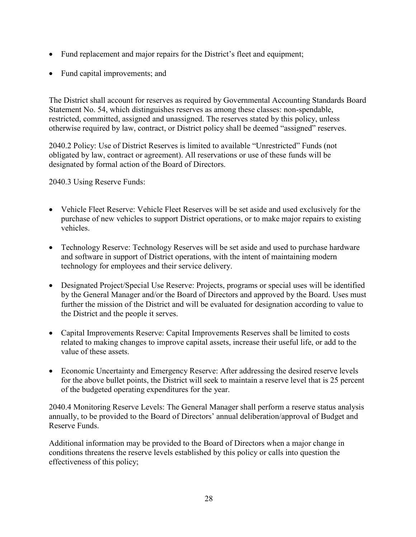- Fund replacement and major repairs for the District's fleet and equipment;
- Fund capital improvements; and

The District shall account for reserves as required by Governmental Accounting Standards Board Statement No. 54, which distinguishes reserves as among these classes: non-spendable, restricted, committed, assigned and unassigned. The reserves stated by this policy, unless otherwise required by law, contract, or District policy shall be deemed "assigned" reserves.

2040.2 Policy: Use of District Reserves is limited to available "Unrestricted" Funds (not obligated by law, contract or agreement). All reservations or use of these funds will be designated by formal action of the Board of Directors.

2040.3 Using Reserve Funds:

- Vehicle Fleet Reserve: Vehicle Fleet Reserves will be set aside and used exclusively for the purchase of new vehicles to support District operations, or to make major repairs to existing vehicles.
- Technology Reserve: Technology Reserves will be set aside and used to purchase hardware and software in support of District operations, with the intent of maintaining modern technology for employees and their service delivery.
- Designated Project/Special Use Reserve: Projects, programs or special uses will be identified by the General Manager and/or the Board of Directors and approved by the Board. Uses must further the mission of the District and will be evaluated for designation according to value to the District and the people it serves.
- Capital Improvements Reserve: Capital Improvements Reserves shall be limited to costs related to making changes to improve capital assets, increase their useful life, or add to the value of these assets.
- Economic Uncertainty and Emergency Reserve: After addressing the desired reserve levels for the above bullet points, the District will seek to maintain a reserve level that is 25 percent of the budgeted operating expenditures for the year.

2040.4 Monitoring Reserve Levels: The General Manager shall perform a reserve status analysis annually, to be provided to the Board of Directors' annual deliberation/approval of Budget and Reserve Funds.

Additional information may be provided to the Board of Directors when a major change in conditions threatens the reserve levels established by this policy or calls into question the effectiveness of this policy;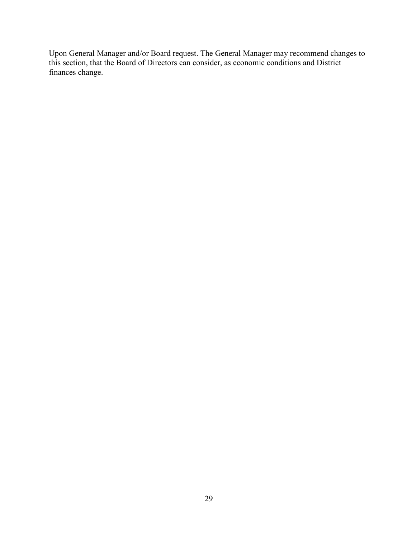Upon General Manager and/or Board request. The General Manager may recommend changes to this section, that the Board of Directors can consider, as economic conditions and District finances change.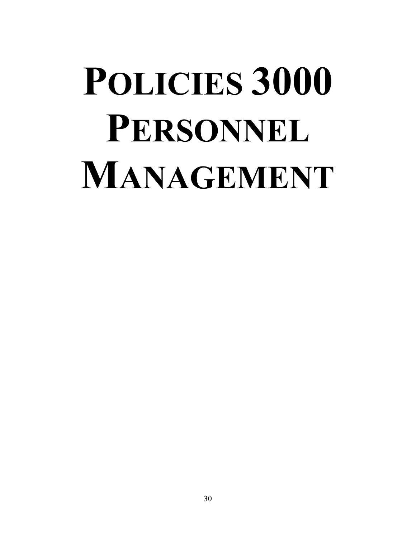# **POLICIES 3000 PERSONNEL MANAGEMENT**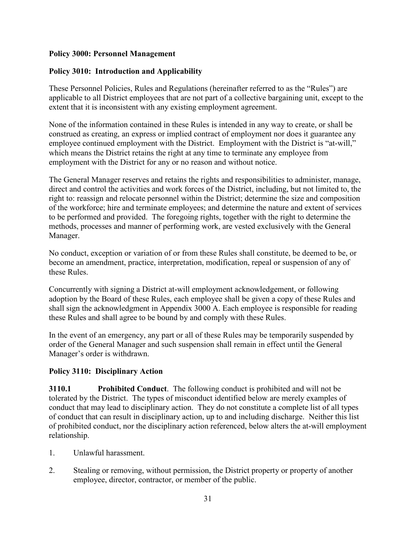#### **Policy 3000: Personnel Management**

#### **Policy 3010: Introduction and Applicability**

These Personnel Policies, Rules and Regulations (hereinafter referred to as the "Rules") are applicable to all District employees that are not part of a collective bargaining unit, except to the extent that it is inconsistent with any existing employment agreement.

None of the information contained in these Rules is intended in any way to create, or shall be construed as creating, an express or implied contract of employment nor does it guarantee any employee continued employment with the District. Employment with the District is "at-will," which means the District retains the right at any time to terminate any employee from employment with the District for any or no reason and without notice.

The General Manager reserves and retains the rights and responsibilities to administer, manage, direct and control the activities and work forces of the District, including, but not limited to, the right to: reassign and relocate personnel within the District; determine the size and composition of the workforce; hire and terminate employees; and determine the nature and extent of services to be performed and provided. The foregoing rights, together with the right to determine the methods, processes and manner of performing work, are vested exclusively with the General Manager.

No conduct, exception or variation of or from these Rules shall constitute, be deemed to be, or become an amendment, practice, interpretation, modification, repeal or suspension of any of these Rules.

Concurrently with signing a District at-will employment acknowledgement, or following adoption by the Board of these Rules, each employee shall be given a copy of these Rules and shall sign the acknowledgment in Appendix 3000 A. Each employee is responsible for reading these Rules and shall agree to be bound by and comply with these Rules.

In the event of an emergency, any part or all of these Rules may be temporarily suspended by order of the General Manager and such suspension shall remain in effect until the General Manager's order is withdrawn.

#### **Policy 3110: Disciplinary Action**

**3110.1 Prohibited Conduct**. The following conduct is prohibited and will not be tolerated by the District. The types of misconduct identified below are merely examples of conduct that may lead to disciplinary action. They do not constitute a complete list of all types of conduct that can result in disciplinary action, up to and including discharge. Neither this list of prohibited conduct, nor the disciplinary action referenced, below alters the at-will employment relationship.

- 1. Unlawful harassment.
- 2. Stealing or removing, without permission, the District property or property of another employee, director, contractor, or member of the public.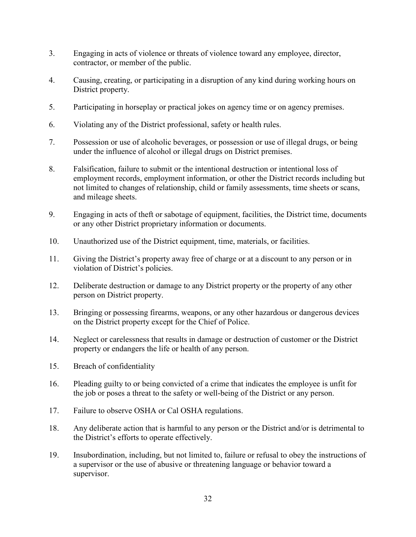- 3. Engaging in acts of violence or threats of violence toward any employee, director, contractor, or member of the public.
- 4. Causing, creating, or participating in a disruption of any kind during working hours on District property.
- 5. Participating in horseplay or practical jokes on agency time or on agency premises.
- 6. Violating any of the District professional, safety or health rules.
- 7. Possession or use of alcoholic beverages, or possession or use of illegal drugs, or being under the influence of alcohol or illegal drugs on District premises.
- 8. Falsification, failure to submit or the intentional destruction or intentional loss of employment records, employment information, or other the District records including but not limited to changes of relationship, child or family assessments, time sheets or scans, and mileage sheets.
- 9. Engaging in acts of theft or sabotage of equipment, facilities, the District time, documents or any other District proprietary information or documents.
- 10. Unauthorized use of the District equipment, time, materials, or facilities.
- 11. Giving the District's property away free of charge or at a discount to any person or in violation of District's policies.
- 12. Deliberate destruction or damage to any District property or the property of any other person on District property.
- 13. Bringing or possessing firearms, weapons, or any other hazardous or dangerous devices on the District property except for the Chief of Police.
- 14. Neglect or carelessness that results in damage or destruction of customer or the District property or endangers the life or health of any person.
- 15. Breach of confidentiality
- 16. Pleading guilty to or being convicted of a crime that indicates the employee is unfit for the job or poses a threat to the safety or well-being of the District or any person.
- 17. Failure to observe OSHA or Cal OSHA regulations.
- 18. Any deliberate action that is harmful to any person or the District and/or is detrimental to the District's efforts to operate effectively.
- 19. Insubordination, including, but not limited to, failure or refusal to obey the instructions of a supervisor or the use of abusive or threatening language or behavior toward a supervisor.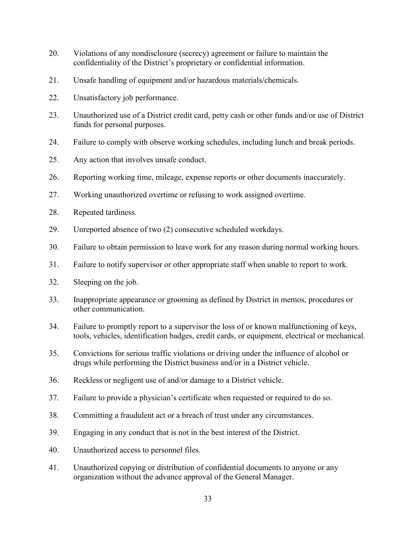- 20. Violations of any nondisclosure (secrecy) agreement or failure to maintain the confidentiality of the District's proprietary or confidential information.
- 21. Unsafe handling of equipment and/or hazardous materials/chemicals.
- 22. Unsatisfactory job performance.
- 23. Unauthorized use of a District credit card, petty cash or other funds and/or use of District funds for personal purposes.
- 24. Failure to comply with observe working schedules, including lunch and break periods.
- 25. Any action that involves unsafe conduct.
- 26. Reporting working time, mileage, expense reports or other documents inaccurately.
- 27. Working unauthorized overtime or refusing to work assigned overtime.
- 28. Repeated tardiness.
- 29. Unreported absence of two (2) consecutive scheduled workdays.
- 30. Failure to obtain permission to leave work for any reason during normal working hours.
- 31. Failure to notify supervisor or other appropriate staff when unable to report to work.
- 32. Sleeping on the job.
- 33. Inappropriate appearance or grooming as defined by District in memos, procedures or other communication.
- 34. Failure to promptly report to a supervisor the loss of or known malfunctioning of keys, tools, vehicles, identification badges, credit cards, or equipment, electrical or mechanical.
- 35. Convictions for serious traffic violations or driving under the influence of alcohol or drugs while performing the District business and/or in a District vehicle.
- 36. Reckless or negligent use of and/or damage to a District vehicle.
- 37. Failure to provide a physician's certificate when requested or required to do so.
- 38. Committing a fraudulent act or a breach of trust under any circumstances.
- 39. Engaging in any conduct that is not in the best interest of the District.
- 40. Unauthorized access to personnel files.
- 41. Unauthorized copying or distribution of confidential documents to anyone or any organization without the advance approval of the General Manager.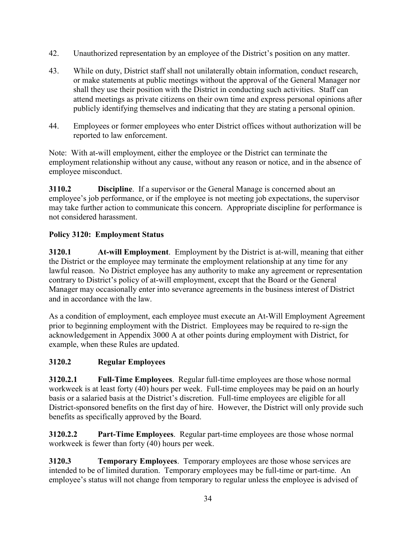- 42. Unauthorized representation by an employee of the District's position on any matter.
- 43. While on duty, District staff shall not unilaterally obtain information, conduct research, or make statements at public meetings without the approval of the General Manager nor shall they use their position with the District in conducting such activities. Staff can attend meetings as private citizens on their own time and express personal opinions after publicly identifying themselves and indicating that they are stating a personal opinion.
- 44. Employees or former employees who enter District offices without authorization will be reported to law enforcement.

Note: With at-will employment, either the employee or the District can terminate the employment relationship without any cause, without any reason or notice, and in the absence of employee misconduct.

**3110.2 Discipline**. If a supervisor or the General Manage is concerned about an employee's job performance, or if the employee is not meeting job expectations, the supervisor may take further action to communicate this concern. Appropriate discipline for performance is not considered harassment.

# **Policy 3120: Employment Status**

**3120.1 At-will Employment**. Employment by the District is at-will, meaning that either the District or the employee may terminate the employment relationship at any time for any lawful reason. No District employee has any authority to make any agreement or representation contrary to District's policy of at-will employment, except that the Board or the General Manager may occasionally enter into severance agreements in the business interest of District and in accordance with the law.

As a condition of employment, each employee must execute an At-Will Employment Agreement prior to beginning employment with the District. Employees may be required to re-sign the acknowledgement in Appendix 3000 A at other points during employment with District, for example, when these Rules are updated.

# **3120.2 Regular Employees**

**3120.2.1 Full-Time Employees**. Regular full-time employees are those whose normal workweek is at least forty (40) hours per week. Full-time employees may be paid on an hourly basis or a salaried basis at the District's discretion. Full-time employees are eligible for all District-sponsored benefits on the first day of hire. However, the District will only provide such benefits as specifically approved by the Board.

**3120.2.2 Part-Time Employees**. Regular part-time employees are those whose normal workweek is fewer than forty (40) hours per week.

**3120.3 Temporary Employees**. Temporary employees are those whose services are intended to be of limited duration. Temporary employees may be full-time or part-time. An employee's status will not change from temporary to regular unless the employee is advised of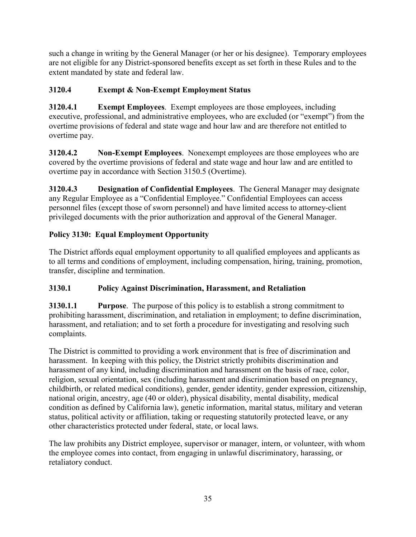such a change in writing by the General Manager (or her or his designee). Temporary employees are not eligible for any District-sponsored benefits except as set forth in these Rules and to the extent mandated by state and federal law.

# **3120.4 Exempt & Non-Exempt Employment Status**

**3120.4.1 Exempt Employees**. Exempt employees are those employees, including executive, professional, and administrative employees, who are excluded (or "exempt") from the overtime provisions of federal and state wage and hour law and are therefore not entitled to overtime pay.

**3120.4.2 Non-Exempt Employees**. Nonexempt employees are those employees who are covered by the overtime provisions of federal and state wage and hour law and are entitled to overtime pay in accordance with Section 3150.5 (Overtime).

**3120.4.3 Designation of Confidential Employees**. The General Manager may designate any Regular Employee as a "Confidential Employee." Confidential Employees can access personnel files (except those of sworn personnel) and have limited access to attorney-client privileged documents with the prior authorization and approval of the General Manager.

# **Policy 3130: Equal Employment Opportunity**

The District affords equal employment opportunity to all qualified employees and applicants as to all terms and conditions of employment, including compensation, hiring, training, promotion, transfer, discipline and termination.

# **3130.1 Policy Against Discrimination, Harassment, and Retaliation**

**3130.1.1 Purpose**. The purpose of this policy is to establish a strong commitment to prohibiting harassment, discrimination, and retaliation in employment; to define discrimination, harassment, and retaliation; and to set forth a procedure for investigating and resolving such complaints.

The District is committed to providing a work environment that is free of discrimination and harassment. In keeping with this policy, the District strictly prohibits discrimination and harassment of any kind, including discrimination and harassment on the basis of race, color, religion, sexual orientation, sex (including harassment and discrimination based on pregnancy, childbirth, or related medical conditions), gender, gender identity, gender expression, citizenship, national origin, ancestry, age (40 or older), physical disability, mental disability, medical condition as defined by California law), genetic information, marital status, military and veteran status, political activity or affiliation, taking or requesting statutorily protected leave, or any other characteristics protected under federal, state, or local laws.

The law prohibits any District employee, supervisor or manager, intern, or volunteer, with whom the employee comes into contact, from engaging in unlawful discriminatory, harassing, or retaliatory conduct.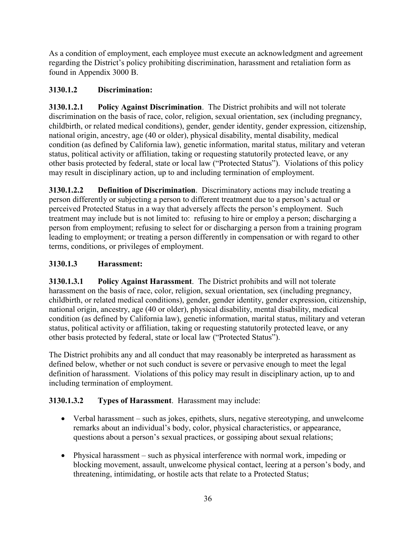As a condition of employment, each employee must execute an acknowledgment and agreement regarding the District's policy prohibiting discrimination, harassment and retaliation form as found in Appendix 3000 B.

# **3130.1.2 Discrimination:**

**3130.1.2.1 Policy Against Discrimination**. The District prohibits and will not tolerate discrimination on the basis of race, color, religion, sexual orientation, sex (including pregnancy, childbirth, or related medical conditions), gender, gender identity, gender expression, citizenship, national origin, ancestry, age (40 or older), physical disability, mental disability, medical condition (as defined by California law), genetic information, marital status, military and veteran status, political activity or affiliation, taking or requesting statutorily protected leave, or any other basis protected by federal, state or local law ("Protected Status"). Violations of this policy may result in disciplinary action, up to and including termination of employment.

**3130.1.2.2 Definition of Discrimination**. Discriminatory actions may include treating a person differently or subjecting a person to different treatment due to a person's actual or perceived Protected Status in a way that adversely affects the person's employment. Such treatment may include but is not limited to: refusing to hire or employ a person; discharging a person from employment; refusing to select for or discharging a person from a training program leading to employment; or treating a person differently in compensation or with regard to other terms, conditions, or privileges of employment.

# **3130.1.3 Harassment:**

**3130.1.3.1 Policy Against Harassment**. The District prohibits and will not tolerate harassment on the basis of race, color, religion, sexual orientation, sex (including pregnancy, childbirth, or related medical conditions), gender, gender identity, gender expression, citizenship, national origin, ancestry, age (40 or older), physical disability, mental disability, medical condition (as defined by California law), genetic information, marital status, military and veteran status, political activity or affiliation, taking or requesting statutorily protected leave, or any other basis protected by federal, state or local law ("Protected Status").

The District prohibits any and all conduct that may reasonably be interpreted as harassment as defined below, whether or not such conduct is severe or pervasive enough to meet the legal definition of harassment. Violations of this policy may result in disciplinary action, up to and including termination of employment.

# **3130.1.3.2 Types of Harassment**. Harassment may include:

- Verbal harassment such as jokes, epithets, slurs, negative stereotyping, and unwelcome remarks about an individual's body, color, physical characteristics, or appearance, questions about a person's sexual practices, or gossiping about sexual relations;
- Physical harassment such as physical interference with normal work, impeding or blocking movement, assault, unwelcome physical contact, leering at a person's body, and threatening, intimidating, or hostile acts that relate to a Protected Status;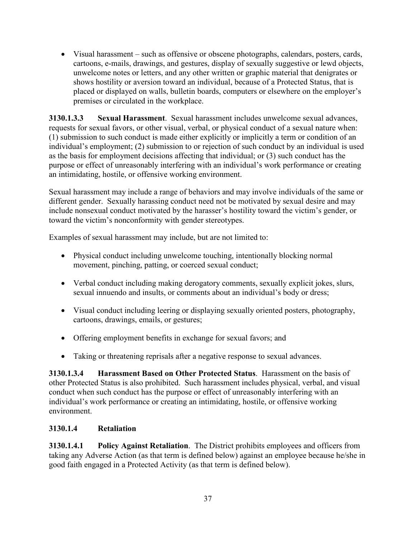• Visual harassment – such as offensive or obscene photographs, calendars, posters, cards, cartoons, e-mails, drawings, and gestures, display of sexually suggestive or lewd objects, unwelcome notes or letters, and any other written or graphic material that denigrates or shows hostility or aversion toward an individual, because of a Protected Status, that is placed or displayed on walls, bulletin boards, computers or elsewhere on the employer's premises or circulated in the workplace.

**3130.1.3.3 Sexual Harassment**. Sexual harassment includes unwelcome sexual advances, requests for sexual favors, or other visual, verbal, or physical conduct of a sexual nature when: (1) submission to such conduct is made either explicitly or implicitly a term or condition of an individual's employment; (2) submission to or rejection of such conduct by an individual is used as the basis for employment decisions affecting that individual; or (3) such conduct has the purpose or effect of unreasonably interfering with an individual's work performance or creating an intimidating, hostile, or offensive working environment.

Sexual harassment may include a range of behaviors and may involve individuals of the same or different gender. Sexually harassing conduct need not be motivated by sexual desire and may include nonsexual conduct motivated by the harasser's hostility toward the victim's gender, or toward the victim's nonconformity with gender stereotypes.

Examples of sexual harassment may include, but are not limited to:

- Physical conduct including unwelcome touching, intentionally blocking normal movement, pinching, patting, or coerced sexual conduct;
- Verbal conduct including making derogatory comments, sexually explicit jokes, slurs, sexual innuendo and insults, or comments about an individual's body or dress;
- Visual conduct including leering or displaying sexually oriented posters, photography, cartoons, drawings, emails, or gestures;
- Offering employment benefits in exchange for sexual favors; and
- Taking or threatening reprisals after a negative response to sexual advances.

**3130.1.3.4 Harassment Based on Other Protected Status**. Harassment on the basis of other Protected Status is also prohibited. Such harassment includes physical, verbal, and visual conduct when such conduct has the purpose or effect of unreasonably interfering with an individual's work performance or creating an intimidating, hostile, or offensive working environment.

# **3130.1.4 Retaliation**

**3130.1.4.1 Policy Against Retaliation**. The District prohibits employees and officers from taking any Adverse Action (as that term is defined below) against an employee because he/she in good faith engaged in a Protected Activity (as that term is defined below).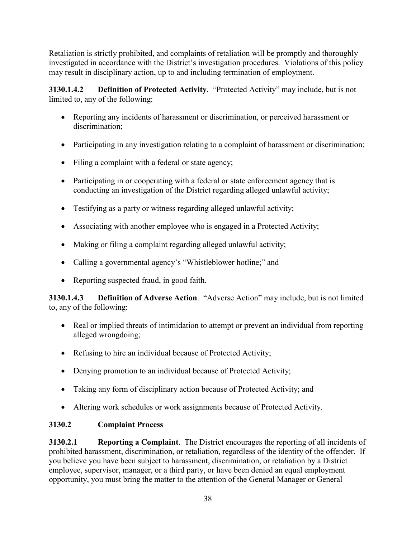Retaliation is strictly prohibited, and complaints of retaliation will be promptly and thoroughly investigated in accordance with the District's investigation procedures. Violations of this policy may result in disciplinary action, up to and including termination of employment.

**3130.1.4.2 Definition of Protected Activity**. "Protected Activity" may include, but is not limited to, any of the following:

- Reporting any incidents of harassment or discrimination, or perceived harassment or discrimination;
- Participating in any investigation relating to a complaint of harassment or discrimination;
- Filing a complaint with a federal or state agency;
- Participating in or cooperating with a federal or state enforcement agency that is conducting an investigation of the District regarding alleged unlawful activity;
- Testifying as a party or witness regarding alleged unlawful activity;
- Associating with another employee who is engaged in a Protected Activity;
- Making or filing a complaint regarding alleged unlawful activity;
- Calling a governmental agency's "Whistleblower hotline;" and
- Reporting suspected fraud, in good faith.

**3130.1.4.3 Definition of Adverse Action**. "Adverse Action" may include, but is not limited to, any of the following:

- Real or implied threats of intimidation to attempt or prevent an individual from reporting alleged wrongdoing;
- Refusing to hire an individual because of Protected Activity;
- Denying promotion to an individual because of Protected Activity;
- Taking any form of disciplinary action because of Protected Activity; and
- Altering work schedules or work assignments because of Protected Activity.

# **3130.2 Complaint Process**

**3130.2.1 Reporting a Complaint**. The District encourages the reporting of all incidents of prohibited harassment, discrimination, or retaliation, regardless of the identity of the offender. If you believe you have been subject to harassment, discrimination, or retaliation by a District employee, supervisor, manager, or a third party, or have been denied an equal employment opportunity, you must bring the matter to the attention of the General Manager or General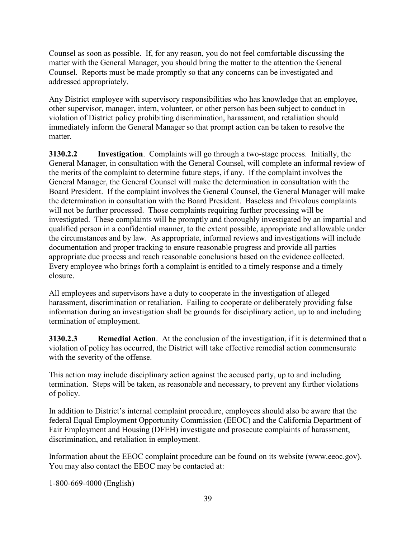Counsel as soon as possible. If, for any reason, you do not feel comfortable discussing the matter with the General Manager, you should bring the matter to the attention the General Counsel. Reports must be made promptly so that any concerns can be investigated and addressed appropriately.

Any District employee with supervisory responsibilities who has knowledge that an employee, other supervisor, manager, intern, volunteer, or other person has been subject to conduct in violation of District policy prohibiting discrimination, harassment, and retaliation should immediately inform the General Manager so that prompt action can be taken to resolve the matter.

**3130.2.2 Investigation**. Complaints will go through a two-stage process. Initially, the General Manager, in consultation with the General Counsel, will complete an informal review of the merits of the complaint to determine future steps, if any. If the complaint involves the General Manager, the General Counsel will make the determination in consultation with the Board President. If the complaint involves the General Counsel, the General Manager will make the determination in consultation with the Board President. Baseless and frivolous complaints will not be further processed. Those complaints requiring further processing will be investigated. These complaints will be promptly and thoroughly investigated by an impartial and qualified person in a confidential manner, to the extent possible, appropriate and allowable under the circumstances and by law. As appropriate, informal reviews and investigations will include documentation and proper tracking to ensure reasonable progress and provide all parties appropriate due process and reach reasonable conclusions based on the evidence collected. Every employee who brings forth a complaint is entitled to a timely response and a timely closure.

All employees and supervisors have a duty to cooperate in the investigation of alleged harassment, discrimination or retaliation. Failing to cooperate or deliberately providing false information during an investigation shall be grounds for disciplinary action, up to and including termination of employment.

**3130.2.3 Remedial Action**. At the conclusion of the investigation, if it is determined that a violation of policy has occurred, the District will take effective remedial action commensurate with the severity of the offense.

This action may include disciplinary action against the accused party, up to and including termination. Steps will be taken, as reasonable and necessary, to prevent any further violations of policy.

In addition to District's internal complaint procedure, employees should also be aware that the federal Equal Employment Opportunity Commission (EEOC) and the California Department of Fair Employment and Housing (DFEH) investigate and prosecute complaints of harassment, discrimination, and retaliation in employment.

Information about the EEOC complaint procedure can be found on its website (www.eeoc.gov). You may also contact the EEOC may be contacted at:

1-800-669-4000 (English)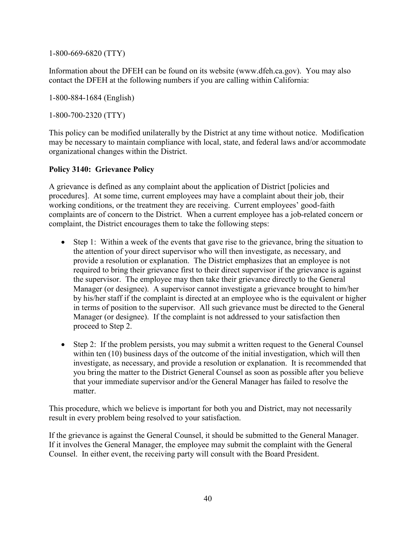1-800-669-6820 (TTY)

Information about the DFEH can be found on its website (www.dfeh.ca.gov). You may also contact the DFEH at the following numbers if you are calling within California:

1-800-884-1684 (English)

1-800-700-2320 (TTY)

This policy can be modified unilaterally by the District at any time without notice. Modification may be necessary to maintain compliance with local, state, and federal laws and/or accommodate organizational changes within the District.

### **Policy 3140: Grievance Policy**

A grievance is defined as any complaint about the application of District [policies and procedures]. At some time, current employees may have a complaint about their job, their working conditions, or the treatment they are receiving. Current employees' good-faith complaints are of concern to the District. When a current employee has a job-related concern or complaint, the District encourages them to take the following steps:

- Step 1: Within a week of the events that gave rise to the grievance, bring the situation to the attention of your direct supervisor who will then investigate, as necessary, and provide a resolution or explanation. The District emphasizes that an employee is not required to bring their grievance first to their direct supervisor if the grievance is against the supervisor. The employee may then take their grievance directly to the General Manager (or designee). A supervisor cannot investigate a grievance brought to him/her by his/her staff if the complaint is directed at an employee who is the equivalent or higher in terms of position to the supervisor. All such grievance must be directed to the General Manager (or designee). If the complaint is not addressed to your satisfaction then proceed to Step 2.
- Step 2: If the problem persists, you may submit a written request to the General Counsel within ten (10) business days of the outcome of the initial investigation, which will then investigate, as necessary, and provide a resolution or explanation. It is recommended that you bring the matter to the District General Counsel as soon as possible after you believe that your immediate supervisor and/or the General Manager has failed to resolve the matter.

This procedure, which we believe is important for both you and District, may not necessarily result in every problem being resolved to your satisfaction.

If the grievance is against the General Counsel, it should be submitted to the General Manager. If it involves the General Manager, the employee may submit the complaint with the General Counsel. In either event, the receiving party will consult with the Board President.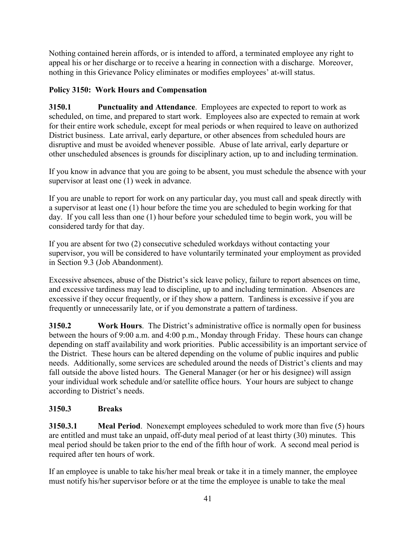Nothing contained herein affords, or is intended to afford, a terminated employee any right to appeal his or her discharge or to receive a hearing in connection with a discharge. Moreover, nothing in this Grievance Policy eliminates or modifies employees' at-will status.

# **Policy 3150: Work Hours and Compensation**

**3150.1 Punctuality and Attendance**. Employees are expected to report to work as scheduled, on time, and prepared to start work. Employees also are expected to remain at work for their entire work schedule, except for meal periods or when required to leave on authorized District business. Late arrival, early departure, or other absences from scheduled hours are disruptive and must be avoided whenever possible. Abuse of late arrival, early departure or other unscheduled absences is grounds for disciplinary action, up to and including termination.

If you know in advance that you are going to be absent, you must schedule the absence with your supervisor at least one (1) week in advance.

If you are unable to report for work on any particular day, you must call and speak directly with a supervisor at least one (1) hour before the time you are scheduled to begin working for that day. If you call less than one (1) hour before your scheduled time to begin work, you will be considered tardy for that day.

If you are absent for two (2) consecutive scheduled workdays without contacting your supervisor, you will be considered to have voluntarily terminated your employment as provided in Section 9.3 (Job Abandonment).

Excessive absences, abuse of the District's sick leave policy, failure to report absences on time, and excessive tardiness may lead to discipline, up to and including termination. Absences are excessive if they occur frequently, or if they show a pattern. Tardiness is excessive if you are frequently or unnecessarily late, or if you demonstrate a pattern of tardiness.

**3150.2 Work Hours**. The District's administrative office is normally open for business between the hours of 9:00 a.m. and 4:00 p.m., Monday through Friday. These hours can change depending on staff availability and work priorities. Public accessibility is an important service of the District. These hours can be altered depending on the volume of public inquires and public needs. Additionally, some services are scheduled around the needs of District's clients and may fall outside the above listed hours. The General Manager (or her or his designee) will assign your individual work schedule and/or satellite office hours. Your hours are subject to change according to District's needs.

# **3150.3 Breaks**

**3150.3.1 Meal Period**. Nonexempt employees scheduled to work more than five (5) hours are entitled and must take an unpaid, off-duty meal period of at least thirty (30) minutes. This meal period should be taken prior to the end of the fifth hour of work. A second meal period is required after ten hours of work.

If an employee is unable to take his/her meal break or take it in a timely manner, the employee must notify his/her supervisor before or at the time the employee is unable to take the meal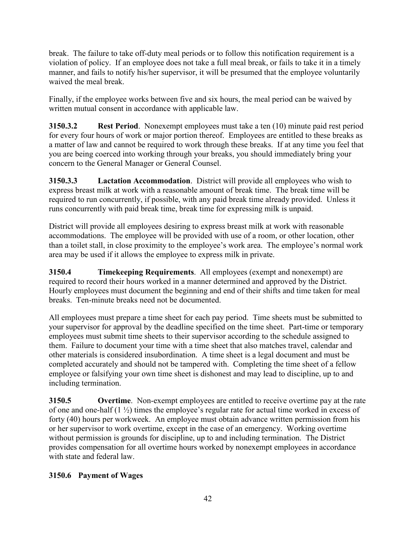break. The failure to take off-duty meal periods or to follow this notification requirement is a violation of policy. If an employee does not take a full meal break, or fails to take it in a timely manner, and fails to notify his/her supervisor, it will be presumed that the employee voluntarily waived the meal break.

Finally, if the employee works between five and six hours, the meal period can be waived by written mutual consent in accordance with applicable law.

**3150.3.2 Rest Period**. Nonexempt employees must take a ten (10) minute paid rest period for every four hours of work or major portion thereof. Employees are entitled to these breaks as a matter of law and cannot be required to work through these breaks. If at any time you feel that you are being coerced into working through your breaks, you should immediately bring your concern to the General Manager or General Counsel.

**3150.3.3 Lactation Accommodation**. District will provide all employees who wish to express breast milk at work with a reasonable amount of break time. The break time will be required to run concurrently, if possible, with any paid break time already provided. Unless it runs concurrently with paid break time, break time for expressing milk is unpaid.

District will provide all employees desiring to express breast milk at work with reasonable accommodations. The employee will be provided with use of a room, or other location, other than a toilet stall, in close proximity to the employee's work area. The employee's normal work area may be used if it allows the employee to express milk in private.

**3150.4 Timekeeping Requirements**. All employees (exempt and nonexempt) are required to record their hours worked in a manner determined and approved by the District. Hourly employees must document the beginning and end of their shifts and time taken for meal breaks. Ten-minute breaks need not be documented.

All employees must prepare a time sheet for each pay period. Time sheets must be submitted to your supervisor for approval by the deadline specified on the time sheet. Part-time or temporary employees must submit time sheets to their supervisor according to the schedule assigned to them. Failure to document your time with a time sheet that also matches travel, calendar and other materials is considered insubordination. A time sheet is a legal document and must be completed accurately and should not be tampered with. Completing the time sheet of a fellow employee or falsifying your own time sheet is dishonest and may lead to discipline, up to and including termination.

**3150.5 Overtime**. Non-exempt employees are entitled to receive overtime pay at the rate of one and one-half (1 ½) times the employee's regular rate for actual time worked in excess of forty (40) hours per workweek. An employee must obtain advance written permission from his or her supervisor to work overtime, except in the case of an emergency. Working overtime without permission is grounds for discipline, up to and including termination. The District provides compensation for all overtime hours worked by nonexempt employees in accordance with state and federal law.

# **3150.6 Payment of Wages**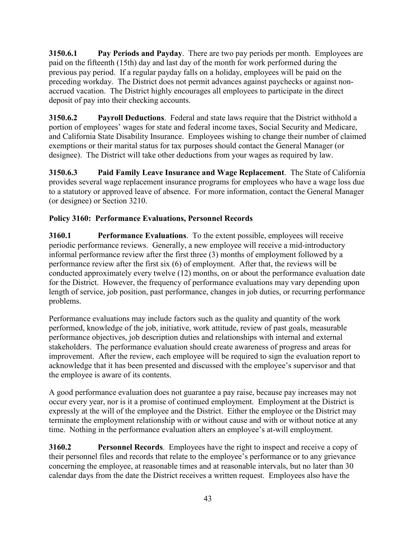**3150.6.1 Pay Periods and Payday**. There are two pay periods per month. Employees are paid on the fifteenth (15th) day and last day of the month for work performed during the previous pay period. If a regular payday falls on a holiday, employees will be paid on the preceding workday. The District does not permit advances against paychecks or against nonaccrued vacation. The District highly encourages all employees to participate in the direct deposit of pay into their checking accounts.

**3150.6.2 Payroll Deductions**. Federal and state laws require that the District withhold a portion of employees' wages for state and federal income taxes, Social Security and Medicare, and California State Disability Insurance. Employees wishing to change their number of claimed exemptions or their marital status for tax purposes should contact the General Manager (or designee). The District will take other deductions from your wages as required by law.

**3150.6.3 Paid Family Leave Insurance and Wage Replacement**. The State of California provides several wage replacement insurance programs for employees who have a wage loss due to a statutory or approved leave of absence. For more information, contact the General Manager (or designee) or Section 3210.

# **Policy 3160: Performance Evaluations, Personnel Records**

**3160.1 Performance Evaluations**. To the extent possible, employees will receive periodic performance reviews. Generally, a new employee will receive a mid-introductory informal performance review after the first three (3) months of employment followed by a performance review after the first six (6) of employment. After that, the reviews will be conducted approximately every twelve (12) months, on or about the performance evaluation date for the District. However, the frequency of performance evaluations may vary depending upon length of service, job position, past performance, changes in job duties, or recurring performance problems.

Performance evaluations may include factors such as the quality and quantity of the work performed, knowledge of the job, initiative, work attitude, review of past goals, measurable performance objectives, job description duties and relationships with internal and external stakeholders. The performance evaluation should create awareness of progress and areas for improvement. After the review, each employee will be required to sign the evaluation report to acknowledge that it has been presented and discussed with the employee's supervisor and that the employee is aware of its contents.

A good performance evaluation does not guarantee a pay raise, because pay increases may not occur every year, nor is it a promise of continued employment. Employment at the District is expressly at the will of the employee and the District. Either the employee or the District may terminate the employment relationship with or without cause and with or without notice at any time. Nothing in the performance evaluation alters an employee's at-will employment.

**3160.2 Personnel Records**. Employees have the right to inspect and receive a copy of their personnel files and records that relate to the employee's performance or to any grievance concerning the employee, at reasonable times and at reasonable intervals, but no later than 30 calendar days from the date the District receives a written request. Employees also have the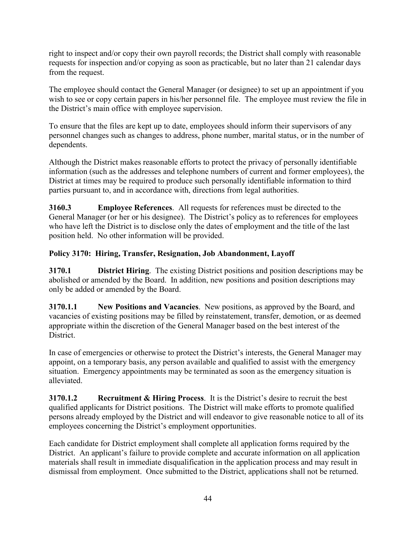right to inspect and/or copy their own payroll records; the District shall comply with reasonable requests for inspection and/or copying as soon as practicable, but no later than 21 calendar days from the request.

The employee should contact the General Manager (or designee) to set up an appointment if you wish to see or copy certain papers in his/her personnel file. The employee must review the file in the District's main office with employee supervision.

To ensure that the files are kept up to date, employees should inform their supervisors of any personnel changes such as changes to address, phone number, marital status, or in the number of dependents.

Although the District makes reasonable efforts to protect the privacy of personally identifiable information (such as the addresses and telephone numbers of current and former employees), the District at times may be required to produce such personally identifiable information to third parties pursuant to, and in accordance with, directions from legal authorities.

**3160.3 Employee References**. All requests for references must be directed to the General Manager (or her or his designee). The District's policy as to references for employees who have left the District is to disclose only the dates of employment and the title of the last position held. No other information will be provided.

# **Policy 3170: Hiring, Transfer, Resignation, Job Abandonment, Layoff**

**3170.1 District Hiring**. The existing District positions and position descriptions may be abolished or amended by the Board. In addition, new positions and position descriptions may only be added or amended by the Board.

**3170.1.1 New Positions and Vacancies**. New positions, as approved by the Board, and vacancies of existing positions may be filled by reinstatement, transfer, demotion, or as deemed appropriate within the discretion of the General Manager based on the best interest of the District.

In case of emergencies or otherwise to protect the District's interests, the General Manager may appoint, on a temporary basis, any person available and qualified to assist with the emergency situation. Emergency appointments may be terminated as soon as the emergency situation is alleviated.

**3170.1.2 Recruitment & Hiring Process**. It is the District's desire to recruit the best qualified applicants for District positions. The District will make efforts to promote qualified persons already employed by the District and will endeavor to give reasonable notice to all of its employees concerning the District's employment opportunities.

Each candidate for District employment shall complete all application forms required by the District. An applicant's failure to provide complete and accurate information on all application materials shall result in immediate disqualification in the application process and may result in dismissal from employment. Once submitted to the District, applications shall not be returned.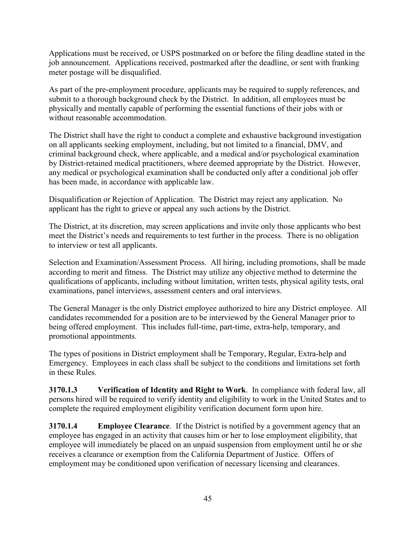Applications must be received, or USPS postmarked on or before the filing deadline stated in the job announcement. Applications received, postmarked after the deadline, or sent with franking meter postage will be disqualified.

As part of the pre-employment procedure, applicants may be required to supply references, and submit to a thorough background check by the District. In addition, all employees must be physically and mentally capable of performing the essential functions of their jobs with or without reasonable accommodation.

The District shall have the right to conduct a complete and exhaustive background investigation on all applicants seeking employment, including, but not limited to a financial, DMV, and criminal background check, where applicable, and a medical and/or psychological examination by District-retained medical practitioners, where deemed appropriate by the District. However, any medical or psychological examination shall be conducted only after a conditional job offer has been made, in accordance with applicable law.

Disqualification or Rejection of Application. The District may reject any application. No applicant has the right to grieve or appeal any such actions by the District.

The District, at its discretion, may screen applications and invite only those applicants who best meet the District's needs and requirements to test further in the process. There is no obligation to interview or test all applicants.

Selection and Examination/Assessment Process. All hiring, including promotions, shall be made according to merit and fitness. The District may utilize any objective method to determine the qualifications of applicants, including without limitation, written tests, physical agility tests, oral examinations, panel interviews, assessment centers and oral interviews.

The General Manager is the only District employee authorized to hire any District employee. All candidates recommended for a position are to be interviewed by the General Manager prior to being offered employment. This includes full-time, part-time, extra-help, temporary, and promotional appointments.

The types of positions in District employment shall be Temporary, Regular, Extra-help and Emergency. Employees in each class shall be subject to the conditions and limitations set forth in these Rules.

**3170.1.3 Verification of Identity and Right to Work**. In compliance with federal law, all persons hired will be required to verify identity and eligibility to work in the United States and to complete the required employment eligibility verification document form upon hire.

**3170.1.4 Employee Clearance**. If the District is notified by a government agency that an employee has engaged in an activity that causes him or her to lose employment eligibility, that employee will immediately be placed on an unpaid suspension from employment until he or she receives a clearance or exemption from the California Department of Justice. Offers of employment may be conditioned upon verification of necessary licensing and clearances.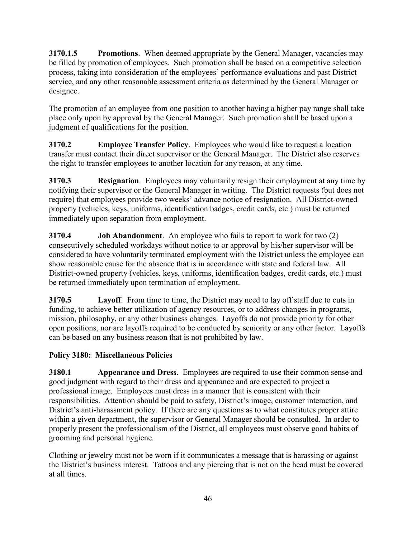**3170.1.5 Promotions**. When deemed appropriate by the General Manager, vacancies may be filled by promotion of employees. Such promotion shall be based on a competitive selection process, taking into consideration of the employees' performance evaluations and past District service, and any other reasonable assessment criteria as determined by the General Manager or designee.

The promotion of an employee from one position to another having a higher pay range shall take place only upon by approval by the General Manager. Such promotion shall be based upon a judgment of qualifications for the position.

**3170.2 Employee Transfer Policy**. Employees who would like to request a location transfer must contact their direct supervisor or the General Manager. The District also reserves the right to transfer employees to another location for any reason, at any time.

**3170.3 Resignation**. Employees may voluntarily resign their employment at any time by notifying their supervisor or the General Manager in writing. The District requests (but does not require) that employees provide two weeks' advance notice of resignation. All District-owned property (vehicles, keys, uniforms, identification badges, credit cards, etc.) must be returned immediately upon separation from employment.

**3170.4 Job Abandonment**. An employee who fails to report to work for two (2) consecutively scheduled workdays without notice to or approval by his/her supervisor will be considered to have voluntarily terminated employment with the District unless the employee can show reasonable cause for the absence that is in accordance with state and federal law. All District-owned property (vehicles, keys, uniforms, identification badges, credit cards, etc.) must be returned immediately upon termination of employment.

**3170.5 Layoff**. From time to time, the District may need to lay off staff due to cuts in funding, to achieve better utilization of agency resources, or to address changes in programs, mission, philosophy, or any other business changes. Layoffs do not provide priority for other open positions, nor are layoffs required to be conducted by seniority or any other factor. Layoffs can be based on any business reason that is not prohibited by law.

# **Policy 3180: Miscellaneous Policies**

**3180.1 Appearance and Dress**. Employees are required to use their common sense and good judgment with regard to their dress and appearance and are expected to project a professional image. Employees must dress in a manner that is consistent with their responsibilities. Attention should be paid to safety, District's image, customer interaction, and District's anti-harassment policy. If there are any questions as to what constitutes proper attire within a given department, the supervisor or General Manager should be consulted. In order to properly present the professionalism of the District, all employees must observe good habits of grooming and personal hygiene.

Clothing or jewelry must not be worn if it communicates a message that is harassing or against the District's business interest. Tattoos and any piercing that is not on the head must be covered at all times.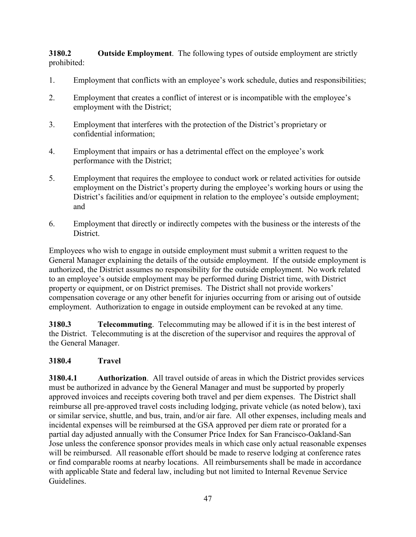**3180.2 Outside Employment**. The following types of outside employment are strictly prohibited:

- 1. Employment that conflicts with an employee's work schedule, duties and responsibilities;
- 2. Employment that creates a conflict of interest or is incompatible with the employee's employment with the District;
- 3. Employment that interferes with the protection of the District's proprietary or confidential information;
- 4. Employment that impairs or has a detrimental effect on the employee's work performance with the District;
- 5. Employment that requires the employee to conduct work or related activities for outside employment on the District's property during the employee's working hours or using the District's facilities and/or equipment in relation to the employee's outside employment; and
- 6. Employment that directly or indirectly competes with the business or the interests of the District.

Employees who wish to engage in outside employment must submit a written request to the General Manager explaining the details of the outside employment. If the outside employment is authorized, the District assumes no responsibility for the outside employment. No work related to an employee's outside employment may be performed during District time, with District property or equipment, or on District premises. The District shall not provide workers' compensation coverage or any other benefit for injuries occurring from or arising out of outside employment. Authorization to engage in outside employment can be revoked at any time.

**3180.3 Telecommuting**. Telecommuting may be allowed if it is in the best interest of the District. Telecommuting is at the discretion of the supervisor and requires the approval of the General Manager.

# **3180.4 Travel**

**3180.4.1 Authorization**. All travel outside of areas in which the District provides services must be authorized in advance by the General Manager and must be supported by properly approved invoices and receipts covering both travel and per diem expenses. The District shall reimburse all pre-approved travel costs including lodging, private vehicle (as noted below), taxi or similar service, shuttle, and bus, train, and/or air fare. All other expenses, including meals and incidental expenses will be reimbursed at the GSA approved per diem rate or prorated for a partial day adjusted annually with the Consumer Price Index for San Francisco-Oakland-San Jose unless the conference sponsor provides meals in which case only actual reasonable expenses will be reimbursed. All reasonable effort should be made to reserve lodging at conference rates or find comparable rooms at nearby locations. All reimbursements shall be made in accordance with applicable State and federal law, including but not limited to Internal Revenue Service Guidelines.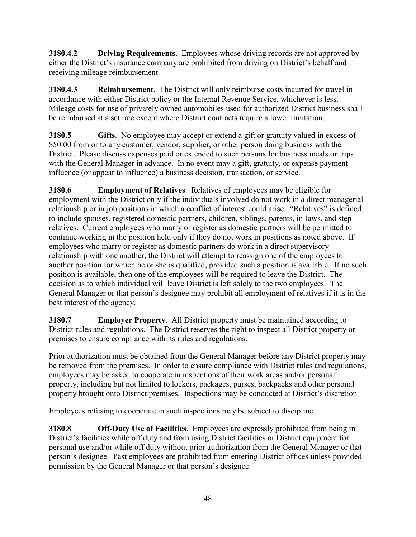**3180.4.2 Driving Requirements**. Employees whose driving records are not approved by either the District's insurance company are prohibited from driving on District's behalf and receiving mileage reimbursement.

**3180.4.3 Reimbursement**. The District will only reimburse costs incurred for travel in accordance with either District policy or the Internal Revenue Service, whichever is less. Mileage costs for use of privately owned automobiles used for authorized District business shall be reimbursed at a set rate except where District contracts require a lower limitation.

**3180.5 Gifts**. No employee may accept or extend a gift or gratuity valued in excess of \$50.00 from or to any customer, vendor, supplier, or other person doing business with the District. Please discuss expenses paid or extended to such persons for business meals or trips with the General Manager in advance. In no event may a gift, gratuity, or expense payment influence (or appear to influence) a business decision, transaction, or service.

**3180.6 Employment of Relatives**. Relatives of employees may be eligible for employment with the District only if the individuals involved do not work in a direct managerial relationship or in job positions in which a conflict of interest could arise. "Relatives" is defined to include spouses, registered domestic partners, children, siblings, parents, in-laws, and steprelatives. Current employees who marry or register as domestic partners will be permitted to continue working in the position held only if they do not work in positions as noted above. If employees who marry or register as domestic partners do work in a direct supervisory relationship with one another, the District will attempt to reassign one of the employees to another position for which he or she is qualified, provided such a position is available. If no such position is available, then one of the employees will be required to leave the District. The decision as to which individual will leave District is left solely to the two employees. The General Manager or that person's designee may prohibit all employment of relatives if it is in the best interest of the agency.

**3180.7 Employer Property**. All District property must be maintained according to District rules and regulations. The District reserves the right to inspect all District property or premises to ensure compliance with its rules and regulations.

Prior authorization must be obtained from the General Manager before any District property may be removed from the premises. In order to ensure compliance with District rules and regulations, employees may be asked to cooperate in inspections of their work areas and/or personal property, including but not limited to lockers, packages, purses, backpacks and other personal property brought onto District premises. Inspections may be conducted at District's discretion.

Employees refusing to cooperate in such inspections may be subject to discipline.

**3180.8 Off-Duty Use of Facilities**. Employees are expressly prohibited from being in District's facilities while off duty and from using District facilities or District equipment for personal use and/or while off duty without prior authorization from the General Manager or that person's designee. Past employees are prohibited from entering District offices unless provided permission by the General Manager or that person's designee.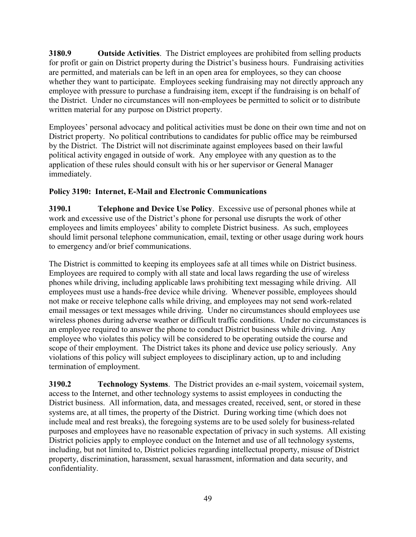**3180.9 Outside Activities**. The District employees are prohibited from selling products for profit or gain on District property during the District's business hours. Fundraising activities are permitted, and materials can be left in an open area for employees, so they can choose whether they want to participate. Employees seeking fundraising may not directly approach any employee with pressure to purchase a fundraising item, except if the fundraising is on behalf of the District. Under no circumstances will non-employees be permitted to solicit or to distribute written material for any purpose on District property.

Employees' personal advocacy and political activities must be done on their own time and not on District property. No political contributions to candidates for public office may be reimbursed by the District. The District will not discriminate against employees based on their lawful political activity engaged in outside of work. Any employee with any question as to the application of these rules should consult with his or her supervisor or General Manager immediately.

# **Policy 3190: Internet, E-Mail and Electronic Communications**

**3190.1 Telephone and Device Use Policy**. Excessive use of personal phones while at work and excessive use of the District's phone for personal use disrupts the work of other employees and limits employees' ability to complete District business. As such, employees should limit personal telephone communication, email, texting or other usage during work hours to emergency and/or brief communications.

The District is committed to keeping its employees safe at all times while on District business. Employees are required to comply with all state and local laws regarding the use of wireless phones while driving, including applicable laws prohibiting text messaging while driving. All employees must use a hands-free device while driving. Whenever possible, employees should not make or receive telephone calls while driving, and employees may not send work-related email messages or text messages while driving. Under no circumstances should employees use wireless phones during adverse weather or difficult traffic conditions. Under no circumstances is an employee required to answer the phone to conduct District business while driving. Any employee who violates this policy will be considered to be operating outside the course and scope of their employment. The District takes its phone and device use policy seriously. Any violations of this policy will subject employees to disciplinary action, up to and including termination of employment.

**3190.2 Technology Systems**. The District provides an e-mail system, voicemail system, access to the Internet, and other technology systems to assist employees in conducting the District business. All information, data, and messages created, received, sent, or stored in these systems are, at all times, the property of the District. During working time (which does not include meal and rest breaks), the foregoing systems are to be used solely for business-related purposes and employees have no reasonable expectation of privacy in such systems. All existing District policies apply to employee conduct on the Internet and use of all technology systems, including, but not limited to, District policies regarding intellectual property, misuse of District property, discrimination, harassment, sexual harassment, information and data security, and confidentiality.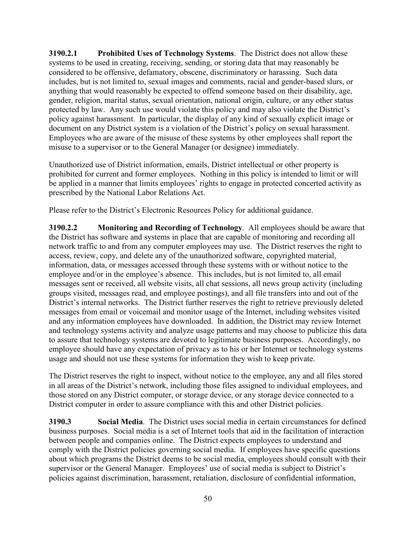**3190.2.1 Prohibited Uses of Technology Systems**. The District does not allow these systems to be used in creating, receiving, sending, or storing data that may reasonably be considered to be offensive, defamatory, obscene, discriminatory or harassing. Such data includes, but is not limited to, sexual images and comments, racial and gender-based slurs, or anything that would reasonably be expected to offend someone based on their disability, age, gender, religion, marital status, sexual orientation, national origin, culture, or any other status protected by law. Any such use would violate this policy and may also violate the District's policy against harassment. In particular, the display of any kind of sexually explicit image or document on any District system is a violation of the District's policy on sexual harassment. Employees who are aware of the misuse of these systems by other employees shall report the misuse to a supervisor or to the General Manager (or designee) immediately.

Unauthorized use of District information, emails, District intellectual or other property is prohibited for current and former employees. Nothing in this policy is intended to limit or will be applied in a manner that limits employees' rights to engage in protected concerted activity as prescribed by the National Labor Relations Act.

Please refer to the District's Electronic Resources Policy for additional guidance.

**3190.2.2 Monitoring and Recording of Technology**. All employees should be aware that the District has software and systems in place that are capable of monitoring and recording all network traffic to and from any computer employees may use. The District reserves the right to access, review, copy, and delete any of the unauthorized software, copyrighted material, information, data, or messages accessed through these systems with or without notice to the employee and/or in the employee's absence. This includes, but is not limited to, all email messages sent or received, all website visits, all chat sessions, all news group activity (including groups visited, messages read, and employee postings), and all file transfers into and out of the District's internal networks. The District further reserves the right to retrieve previously deleted messages from email or voicemail and monitor usage of the Internet, including websites visited and any information employees have downloaded. In addition, the District may review Internet and technology systems activity and analyze usage patterns and may choose to publicize this data to assure that technology systems are devoted to legitimate business purposes. Accordingly, no employee should have any expectation of privacy as to his or her Internet or technology systems usage and should not use these systems for information they wish to keep private.

The District reserves the right to inspect, without notice to the employee, any and all files stored in all areas of the District's network, including those files assigned to individual employees, and those stored on any District computer, or storage device, or any storage device connected to a District computer in order to assure compliance with this and other District policies.

**3190.3 Social Media**. The District uses social media in certain circumstances for defined business purposes. Social media is a set of Internet tools that aid in the facilitation of interaction between people and companies online. The District expects employees to understand and comply with the District policies governing social media. If employees have specific questions about which programs the District deems to be social media, employees should consult with their supervisor or the General Manager. Employees' use of social media is subject to District's policies against discrimination, harassment, retaliation, disclosure of confidential information,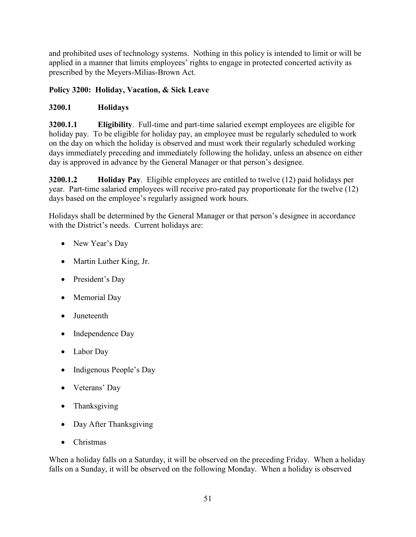and prohibited uses of technology systems. Nothing in this policy is intended to limit or will be applied in a manner that limits employees' rights to engage in protected concerted activity as prescribed by the Meyers-Milias-Brown Act.

# **Policy 3200: Holiday, Vacation, & Sick Leave**

### **3200.1 Holidays**

**3200.1.1 Eligibility**. Full-time and part-time salaried exempt employees are eligible for holiday pay. To be eligible for holiday pay, an employee must be regularly scheduled to work on the day on which the holiday is observed and must work their regularly scheduled working days immediately preceding and immediately following the holiday, unless an absence on either day is approved in advance by the General Manager or that person's designee.

**3200.1.2 Holiday Pay**. Eligible employees are entitled to twelve (12) paid holidays per year. Part-time salaried employees will receive pro-rated pay proportionate for the twelve (12) days based on the employee's regularly assigned work hours.

Holidays shall be determined by the General Manager or that person's designee in accordance with the District's needs. Current holidays are:

- New Year's Day
- Martin Luther King, Jr.
- President's Day
- Memorial Day
- Juneteenth
- Independence Day
- Labor Day
- Indigenous People's Day
- Veterans' Day
- Thanksgiving
- Day After Thanksgiving
- Christmas

When a holiday falls on a Saturday, it will be observed on the preceding Friday. When a holiday falls on a Sunday, it will be observed on the following Monday. When a holiday is observed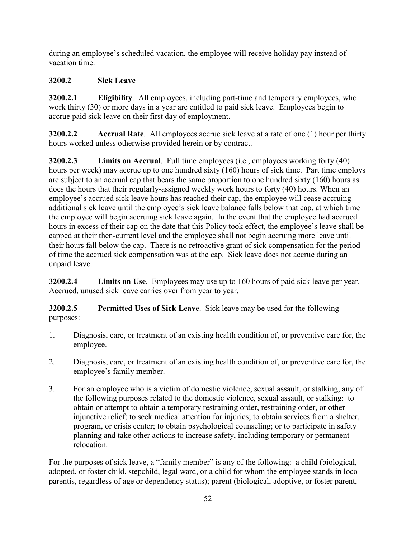during an employee's scheduled vacation, the employee will receive holiday pay instead of vacation time.

# **3200.2 Sick Leave**

**3200.2.1 Eligibility**. All employees, including part-time and temporary employees, who work thirty (30) or more days in a year are entitled to paid sick leave. Employees begin to accrue paid sick leave on their first day of employment.

**3200.2.2 Accrual Rate**. All employees accrue sick leave at a rate of one (1) hour per thirty hours worked unless otherwise provided herein or by contract.

**3200.2.3 Limits on Accrual**. Full time employees (i.e., employees working forty (40) hours per week) may accrue up to one hundred sixty (160) hours of sick time. Part time employs are subject to an accrual cap that bears the same proportion to one hundred sixty (160) hours as does the hours that their regularly-assigned weekly work hours to forty (40) hours. When an employee's accrued sick leave hours has reached their cap, the employee will cease accruing additional sick leave until the employee's sick leave balance falls below that cap, at which time the employee will begin accruing sick leave again. In the event that the employee had accrued hours in excess of their cap on the date that this Policy took effect, the employee's leave shall be capped at their then-current level and the employee shall not begin accruing more leave until their hours fall below the cap. There is no retroactive grant of sick compensation for the period of time the accrued sick compensation was at the cap. Sick leave does not accrue during an unpaid leave.

**3200.2.4 Limits on Use**. Employees may use up to 160 hours of paid sick leave per year. Accrued, unused sick leave carries over from year to year.

**3200.2.5 Permitted Uses of Sick Leave**. Sick leave may be used for the following purposes:

- 1. Diagnosis, care, or treatment of an existing health condition of, or preventive care for, the employee.
- 2. Diagnosis, care, or treatment of an existing health condition of, or preventive care for, the employee's family member.
- 3. For an employee who is a victim of domestic violence, sexual assault, or stalking, any of the following purposes related to the domestic violence, sexual assault, or stalking: to obtain or attempt to obtain a temporary restraining order, restraining order, or other injunctive relief; to seek medical attention for injuries; to obtain services from a shelter, program, or crisis center; to obtain psychological counseling; or to participate in safety planning and take other actions to increase safety, including temporary or permanent relocation.

For the purposes of sick leave, a "family member" is any of the following: a child (biological, adopted, or foster child, stepchild, legal ward, or a child for whom the employee stands in loco parentis, regardless of age or dependency status); parent (biological, adoptive, or foster parent,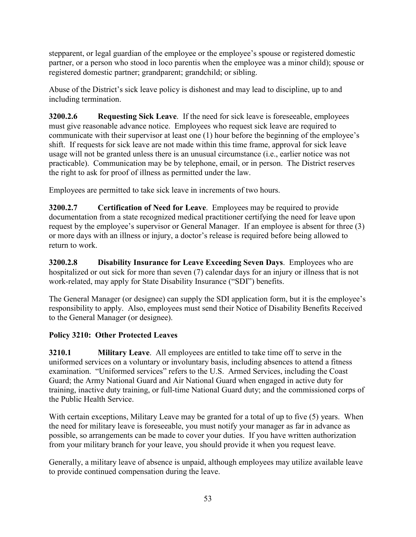stepparent, or legal guardian of the employee or the employee's spouse or registered domestic partner, or a person who stood in loco parentis when the employee was a minor child); spouse or registered domestic partner; grandparent; grandchild; or sibling.

Abuse of the District's sick leave policy is dishonest and may lead to discipline, up to and including termination.

**3200.2.6 Requesting Sick Leave**. If the need for sick leave is foreseeable, employees must give reasonable advance notice. Employees who request sick leave are required to communicate with their supervisor at least one (1) hour before the beginning of the employee's shift. If requests for sick leave are not made within this time frame, approval for sick leave usage will not be granted unless there is an unusual circumstance (i.e., earlier notice was not practicable). Communication may be by telephone, email, or in person. The District reserves the right to ask for proof of illness as permitted under the law.

Employees are permitted to take sick leave in increments of two hours.

**3200.2.7 Certification of Need for Leave**. Employees may be required to provide documentation from a state recognized medical practitioner certifying the need for leave upon request by the employee's supervisor or General Manager. If an employee is absent for three (3) or more days with an illness or injury, a doctor's release is required before being allowed to return to work.

**3200.2.8 Disability Insurance for Leave Exceeding Seven Days**. Employees who are hospitalized or out sick for more than seven (7) calendar days for an injury or illness that is not work-related, may apply for State Disability Insurance ("SDI") benefits.

The General Manager (or designee) can supply the SDI application form, but it is the employee's responsibility to apply. Also, employees must send their Notice of Disability Benefits Received to the General Manager (or designee).

# **Policy 3210: Other Protected Leaves**

**3210.1 Military Leave**. All employees are entitled to take time off to serve in the uniformed services on a voluntary or involuntary basis, including absences to attend a fitness examination. "Uniformed services" refers to the U.S. Armed Services, including the Coast Guard; the Army National Guard and Air National Guard when engaged in active duty for training, inactive duty training, or full-time National Guard duty; and the commissioned corps of the Public Health Service.

With certain exceptions, Military Leave may be granted for a total of up to five (5) years. When the need for military leave is foreseeable, you must notify your manager as far in advance as possible, so arrangements can be made to cover your duties. If you have written authorization from your military branch for your leave, you should provide it when you request leave.

Generally, a military leave of absence is unpaid, although employees may utilize available leave to provide continued compensation during the leave.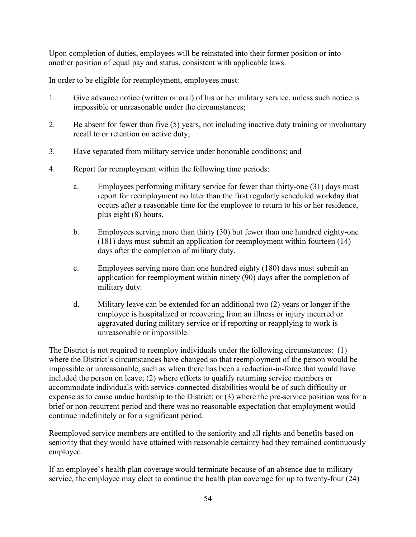Upon completion of duties, employees will be reinstated into their former position or into another position of equal pay and status, consistent with applicable laws.

In order to be eligible for reemployment, employees must:

- 1. Give advance notice (written or oral) of his or her military service, unless such notice is impossible or unreasonable under the circumstances;
- 2. Be absent for fewer than five (5) years, not including inactive duty training or involuntary recall to or retention on active duty;
- 3. Have separated from military service under honorable conditions; and
- 4. Report for reemployment within the following time periods:
	- a. Employees performing military service for fewer than thirty-one (31) days must report for reemployment no later than the first regularly scheduled workday that occurs after a reasonable time for the employee to return to his or her residence, plus eight (8) hours.
	- b. Employees serving more than thirty (30) but fewer than one hundred eighty-one (181) days must submit an application for reemployment within fourteen (14) days after the completion of military duty.
	- c. Employees serving more than one hundred eighty (180) days must submit an application for reemployment within ninety (90) days after the completion of military duty.
	- d. Military leave can be extended for an additional two (2) years or longer if the employee is hospitalized or recovering from an illness or injury incurred or aggravated during military service or if reporting or reapplying to work is unreasonable or impossible.

The District is not required to reemploy individuals under the following circumstances: (1) where the District's circumstances have changed so that reemployment of the person would be impossible or unreasonable, such as when there has been a reduction-in-force that would have included the person on leave; (2) where efforts to qualify returning service members or accommodate individuals with service-connected disabilities would be of such difficulty or expense as to cause undue hardship to the District; or (3) where the pre-service position was for a brief or non-recurrent period and there was no reasonable expectation that employment would continue indefinitely or for a significant period.

Reemployed service members are entitled to the seniority and all rights and benefits based on seniority that they would have attained with reasonable certainty had they remained continuously employed.

If an employee's health plan coverage would terminate because of an absence due to military service, the employee may elect to continue the health plan coverage for up to twenty-four (24)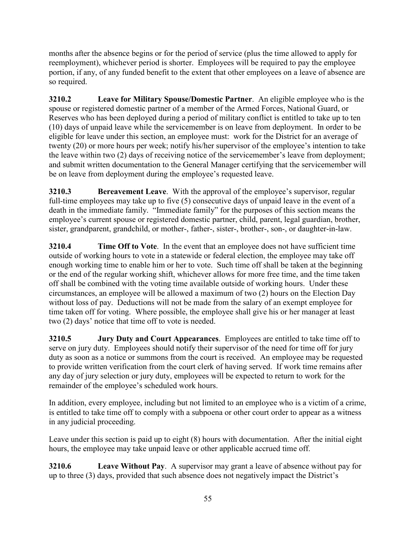months after the absence begins or for the period of service (plus the time allowed to apply for reemployment), whichever period is shorter. Employees will be required to pay the employee portion, if any, of any funded benefit to the extent that other employees on a leave of absence are so required.

**3210.2 Leave for Military Spouse/Domestic Partner**. An eligible employee who is the spouse or registered domestic partner of a member of the Armed Forces, National Guard, or Reserves who has been deployed during a period of military conflict is entitled to take up to ten (10) days of unpaid leave while the servicemember is on leave from deployment. In order to be eligible for leave under this section, an employee must: work for the District for an average of twenty (20) or more hours per week; notify his/her supervisor of the employee's intention to take the leave within two (2) days of receiving notice of the servicemember's leave from deployment; and submit written documentation to the General Manager certifying that the servicemember will be on leave from deployment during the employee's requested leave.

**3210.3 Bereavement Leave**. With the approval of the employee's supervisor, regular full-time employees may take up to five (5) consecutive days of unpaid leave in the event of a death in the immediate family. "Immediate family" for the purposes of this section means the employee's current spouse or registered domestic partner, child, parent, legal guardian, brother, sister, grandparent, grandchild, or mother-, father-, sister-, brother-, son-, or daughter-in-law.

**3210.4 Time Off to Vote**. In the event that an employee does not have sufficient time outside of working hours to vote in a statewide or federal election, the employee may take off enough working time to enable him or her to vote. Such time off shall be taken at the beginning or the end of the regular working shift, whichever allows for more free time, and the time taken off shall be combined with the voting time available outside of working hours. Under these circumstances, an employee will be allowed a maximum of two (2) hours on the Election Day without loss of pay. Deductions will not be made from the salary of an exempt employee for time taken off for voting. Where possible, the employee shall give his or her manager at least two (2) days' notice that time off to vote is needed.

**3210.5 Jury Duty and Court Appearances**. Employees are entitled to take time off to serve on jury duty. Employees should notify their supervisor of the need for time off for jury duty as soon as a notice or summons from the court is received. An employee may be requested to provide written verification from the court clerk of having served. If work time remains after any day of jury selection or jury duty, employees will be expected to return to work for the remainder of the employee's scheduled work hours.

In addition, every employee, including but not limited to an employee who is a victim of a crime, is entitled to take time off to comply with a subpoena or other court order to appear as a witness in any judicial proceeding.

Leave under this section is paid up to eight (8) hours with documentation. After the initial eight hours, the employee may take unpaid leave or other applicable accrued time off.

**3210.6 Leave Without Pay**. A supervisor may grant a leave of absence without pay for up to three (3) days, provided that such absence does not negatively impact the District's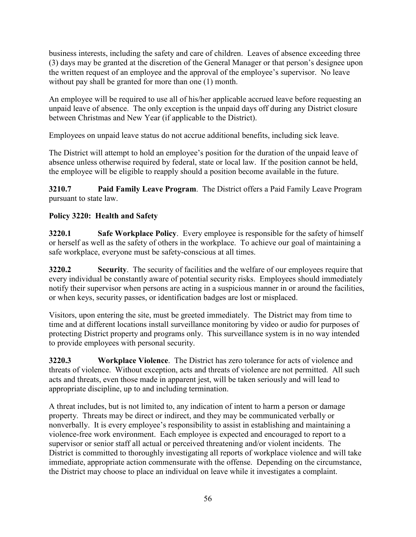business interests, including the safety and care of children. Leaves of absence exceeding three (3) days may be granted at the discretion of the General Manager or that person's designee upon the written request of an employee and the approval of the employee's supervisor. No leave without pay shall be granted for more than one (1) month.

An employee will be required to use all of his/her applicable accrued leave before requesting an unpaid leave of absence. The only exception is the unpaid days off during any District closure between Christmas and New Year (if applicable to the District).

Employees on unpaid leave status do not accrue additional benefits, including sick leave.

The District will attempt to hold an employee's position for the duration of the unpaid leave of absence unless otherwise required by federal, state or local law. If the position cannot be held, the employee will be eligible to reapply should a position become available in the future.

**3210.7 Paid Family Leave Program**. The District offers a Paid Family Leave Program pursuant to state law.

# **Policy 3220: Health and Safety**

**3220.1 Safe Workplace Policy**. Every employee is responsible for the safety of himself or herself as well as the safety of others in the workplace. To achieve our goal of maintaining a safe workplace, everyone must be safety-conscious at all times.

**3220.2 Security**. The security of facilities and the welfare of our employees require that every individual be constantly aware of potential security risks. Employees should immediately notify their supervisor when persons are acting in a suspicious manner in or around the facilities, or when keys, security passes, or identification badges are lost or misplaced.

Visitors, upon entering the site, must be greeted immediately. The District may from time to time and at different locations install surveillance monitoring by video or audio for purposes of protecting District property and programs only. This surveillance system is in no way intended to provide employees with personal security.

**3220.3 Workplace Violence**. The District has zero tolerance for acts of violence and threats of violence. Without exception, acts and threats of violence are not permitted. All such acts and threats, even those made in apparent jest, will be taken seriously and will lead to appropriate discipline, up to and including termination.

A threat includes, but is not limited to, any indication of intent to harm a person or damage property. Threats may be direct or indirect, and they may be communicated verbally or nonverbally. It is every employee's responsibility to assist in establishing and maintaining a violence-free work environment. Each employee is expected and encouraged to report to a supervisor or senior staff all actual or perceived threatening and/or violent incidents. The District is committed to thoroughly investigating all reports of workplace violence and will take immediate, appropriate action commensurate with the offense. Depending on the circumstance, the District may choose to place an individual on leave while it investigates a complaint.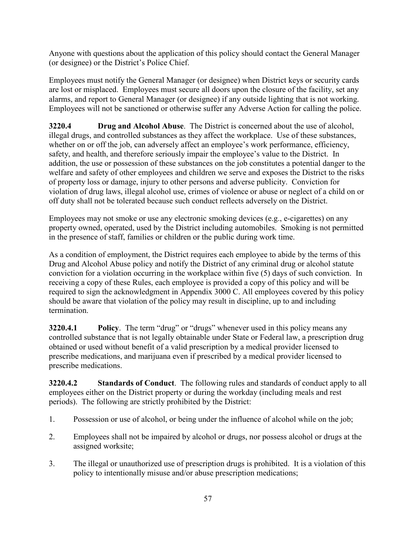Anyone with questions about the application of this policy should contact the General Manager (or designee) or the District's Police Chief.

Employees must notify the General Manager (or designee) when District keys or security cards are lost or misplaced. Employees must secure all doors upon the closure of the facility, set any alarms, and report to General Manager (or designee) if any outside lighting that is not working. Employees will not be sanctioned or otherwise suffer any Adverse Action for calling the police.

**3220.4 Drug and Alcohol Abuse**. The District is concerned about the use of alcohol, illegal drugs, and controlled substances as they affect the workplace. Use of these substances, whether on or off the job, can adversely affect an employee's work performance, efficiency, safety, and health, and therefore seriously impair the employee's value to the District. In addition, the use or possession of these substances on the job constitutes a potential danger to the welfare and safety of other employees and children we serve and exposes the District to the risks of property loss or damage, injury to other persons and adverse publicity. Conviction for violation of drug laws, illegal alcohol use, crimes of violence or abuse or neglect of a child on or off duty shall not be tolerated because such conduct reflects adversely on the District.

Employees may not smoke or use any electronic smoking devices (e.g., e-cigarettes) on any property owned, operated, used by the District including automobiles. Smoking is not permitted in the presence of staff, families or children or the public during work time.

As a condition of employment, the District requires each employee to abide by the terms of this Drug and Alcohol Abuse policy and notify the District of any criminal drug or alcohol statute conviction for a violation occurring in the workplace within five (5) days of such conviction. In receiving a copy of these Rules, each employee is provided a copy of this policy and will be required to sign the acknowledgment in Appendix 3000 C. All employees covered by this policy should be aware that violation of the policy may result in discipline, up to and including termination.

**3220.4.1 Policy**. The term "drug" or "drugs" whenever used in this policy means any controlled substance that is not legally obtainable under State or Federal law, a prescription drug obtained or used without benefit of a valid prescription by a medical provider licensed to prescribe medications, and marijuana even if prescribed by a medical provider licensed to prescribe medications.

**3220.4.2 Standards of Conduct**. The following rules and standards of conduct apply to all employees either on the District property or during the workday (including meals and rest periods). The following are strictly prohibited by the District:

- 1. Possession or use of alcohol, or being under the influence of alcohol while on the job;
- 2. Employees shall not be impaired by alcohol or drugs, nor possess alcohol or drugs at the assigned worksite;
- 3. The illegal or unauthorized use of prescription drugs is prohibited. It is a violation of this policy to intentionally misuse and/or abuse prescription medications;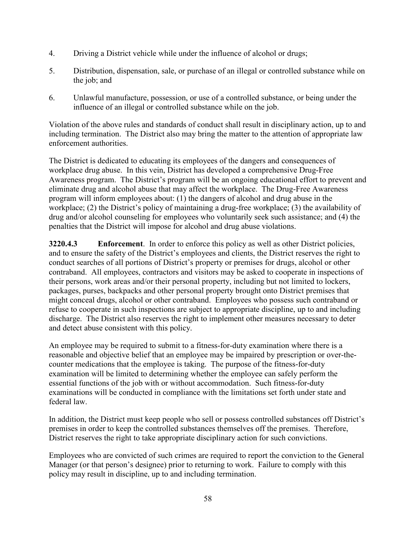- 4. Driving a District vehicle while under the influence of alcohol or drugs;
- 5. Distribution, dispensation, sale, or purchase of an illegal or controlled substance while on the job; and
- 6. Unlawful manufacture, possession, or use of a controlled substance, or being under the influence of an illegal or controlled substance while on the job.

Violation of the above rules and standards of conduct shall result in disciplinary action, up to and including termination. The District also may bring the matter to the attention of appropriate law enforcement authorities.

The District is dedicated to educating its employees of the dangers and consequences of workplace drug abuse. In this vein, District has developed a comprehensive Drug-Free Awareness program. The District's program will be an ongoing educational effort to prevent and eliminate drug and alcohol abuse that may affect the workplace. The Drug-Free Awareness program will inform employees about: (1) the dangers of alcohol and drug abuse in the workplace; (2) the District's policy of maintaining a drug-free workplace; (3) the availability of drug and/or alcohol counseling for employees who voluntarily seek such assistance; and (4) the penalties that the District will impose for alcohol and drug abuse violations.

**3220.4.3 Enforcement**. In order to enforce this policy as well as other District policies, and to ensure the safety of the District's employees and clients, the District reserves the right to conduct searches of all portions of District's property or premises for drugs, alcohol or other contraband. All employees, contractors and visitors may be asked to cooperate in inspections of their persons, work areas and/or their personal property, including but not limited to lockers, packages, purses, backpacks and other personal property brought onto District premises that might conceal drugs, alcohol or other contraband. Employees who possess such contraband or refuse to cooperate in such inspections are subject to appropriate discipline, up to and including discharge. The District also reserves the right to implement other measures necessary to deter and detect abuse consistent with this policy.

An employee may be required to submit to a fitness-for-duty examination where there is a reasonable and objective belief that an employee may be impaired by prescription or over-thecounter medications that the employee is taking. The purpose of the fitness-for-duty examination will be limited to determining whether the employee can safely perform the essential functions of the job with or without accommodation. Such fitness-for-duty examinations will be conducted in compliance with the limitations set forth under state and federal law.

In addition, the District must keep people who sell or possess controlled substances off District's premises in order to keep the controlled substances themselves off the premises. Therefore, District reserves the right to take appropriate disciplinary action for such convictions.

Employees who are convicted of such crimes are required to report the conviction to the General Manager (or that person's designee) prior to returning to work. Failure to comply with this policy may result in discipline, up to and including termination.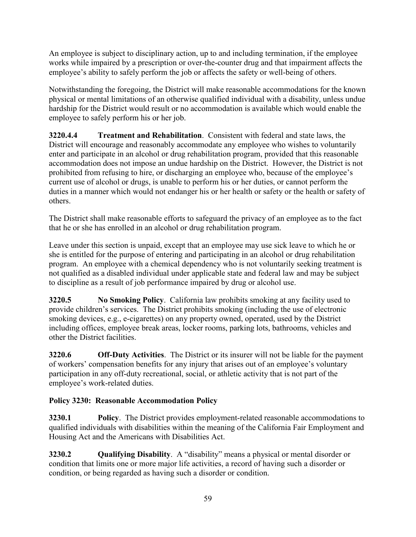An employee is subject to disciplinary action, up to and including termination, if the employee works while impaired by a prescription or over-the-counter drug and that impairment affects the employee's ability to safely perform the job or affects the safety or well-being of others.

Notwithstanding the foregoing, the District will make reasonable accommodations for the known physical or mental limitations of an otherwise qualified individual with a disability, unless undue hardship for the District would result or no accommodation is available which would enable the employee to safely perform his or her job.

**3220.4.4 Treatment and Rehabilitation**. Consistent with federal and state laws, the District will encourage and reasonably accommodate any employee who wishes to voluntarily enter and participate in an alcohol or drug rehabilitation program, provided that this reasonable accommodation does not impose an undue hardship on the District. However, the District is not prohibited from refusing to hire, or discharging an employee who, because of the employee's current use of alcohol or drugs, is unable to perform his or her duties, or cannot perform the duties in a manner which would not endanger his or her health or safety or the health or safety of others.

The District shall make reasonable efforts to safeguard the privacy of an employee as to the fact that he or she has enrolled in an alcohol or drug rehabilitation program.

Leave under this section is unpaid, except that an employee may use sick leave to which he or she is entitled for the purpose of entering and participating in an alcohol or drug rehabilitation program. An employee with a chemical dependency who is not voluntarily seeking treatment is not qualified as a disabled individual under applicable state and federal law and may be subject to discipline as a result of job performance impaired by drug or alcohol use.

**3220.5 No Smoking Policy**. California law prohibits smoking at any facility used to provide children's services. The District prohibits smoking (including the use of electronic smoking devices, e.g., e-cigarettes) on any property owned, operated, used by the District including offices, employee break areas, locker rooms, parking lots, bathrooms, vehicles and other the District facilities.

**3220.6 Off-Duty Activities**. The District or its insurer will not be liable for the payment of workers' compensation benefits for any injury that arises out of an employee's voluntary participation in any off-duty recreational, social, or athletic activity that is not part of the employee's work-related duties.

# **Policy 3230: Reasonable Accommodation Policy**

**3230.1 Policy**. The District provides employment-related reasonable accommodations to qualified individuals with disabilities within the meaning of the California Fair Employment and Housing Act and the Americans with Disabilities Act.

**3230.2 Qualifying Disability**. A "disability" means a physical or mental disorder or condition that limits one or more major life activities, a record of having such a disorder or condition, or being regarded as having such a disorder or condition.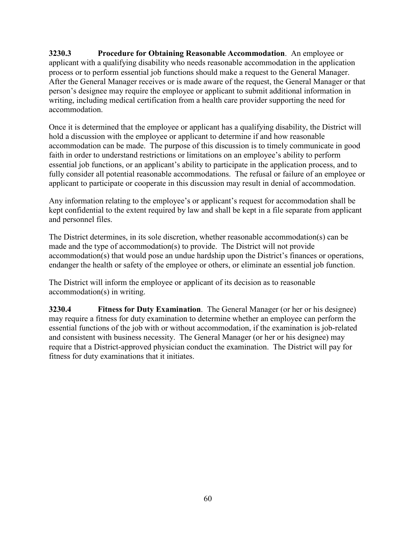**3230.3 Procedure for Obtaining Reasonable Accommodation**. An employee or applicant with a qualifying disability who needs reasonable accommodation in the application process or to perform essential job functions should make a request to the General Manager. After the General Manager receives or is made aware of the request, the General Manager or that person's designee may require the employee or applicant to submit additional information in writing, including medical certification from a health care provider supporting the need for accommodation.

Once it is determined that the employee or applicant has a qualifying disability, the District will hold a discussion with the employee or applicant to determine if and how reasonable accommodation can be made. The purpose of this discussion is to timely communicate in good faith in order to understand restrictions or limitations on an employee's ability to perform essential job functions, or an applicant's ability to participate in the application process, and to fully consider all potential reasonable accommodations. The refusal or failure of an employee or applicant to participate or cooperate in this discussion may result in denial of accommodation.

Any information relating to the employee's or applicant's request for accommodation shall be kept confidential to the extent required by law and shall be kept in a file separate from applicant and personnel files.

The District determines, in its sole discretion, whether reasonable accommodation(s) can be made and the type of accommodation(s) to provide. The District will not provide accommodation(s) that would pose an undue hardship upon the District's finances or operations, endanger the health or safety of the employee or others, or eliminate an essential job function.

The District will inform the employee or applicant of its decision as to reasonable accommodation(s) in writing.

**3230.4 Fitness for Duty Examination**. The General Manager (or her or his designee) may require a fitness for duty examination to determine whether an employee can perform the essential functions of the job with or without accommodation, if the examination is job-related and consistent with business necessity. The General Manager (or her or his designee) may require that a District-approved physician conduct the examination. The District will pay for fitness for duty examinations that it initiates.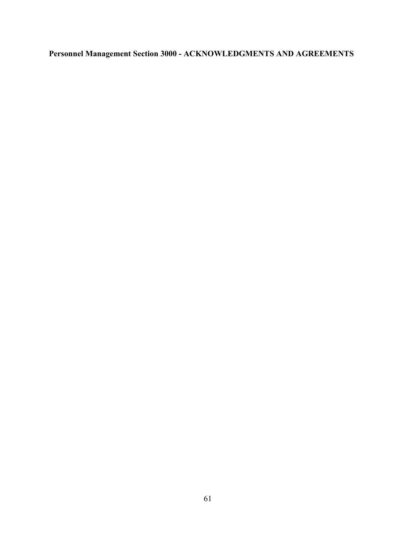# **Personnel Management Section 3000 - ACKNOWLEDGMENTS AND AGREEMENTS**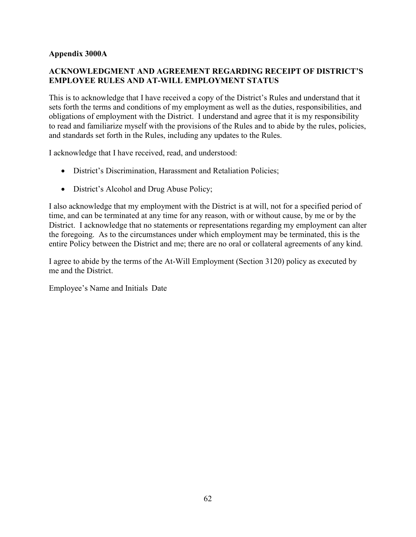### **Appendix 3000A**

### **ACKNOWLEDGMENT AND AGREEMENT REGARDING RECEIPT OF DISTRICT'S EMPLOYEE RULES AND AT-WILL EMPLOYMENT STATUS**

This is to acknowledge that I have received a copy of the District's Rules and understand that it sets forth the terms and conditions of my employment as well as the duties, responsibilities, and obligations of employment with the District. I understand and agree that it is my responsibility to read and familiarize myself with the provisions of the Rules and to abide by the rules, policies, and standards set forth in the Rules, including any updates to the Rules.

I acknowledge that I have received, read, and understood:

- District's Discrimination, Harassment and Retaliation Policies;
- District's Alcohol and Drug Abuse Policy;

I also acknowledge that my employment with the District is at will, not for a specified period of time, and can be terminated at any time for any reason, with or without cause, by me or by the District. I acknowledge that no statements or representations regarding my employment can alter the foregoing. As to the circumstances under which employment may be terminated, this is the entire Policy between the District and me; there are no oral or collateral agreements of any kind.

I agree to abide by the terms of the At-Will Employment (Section 3120) policy as executed by me and the District.

Employee's Name and Initials Date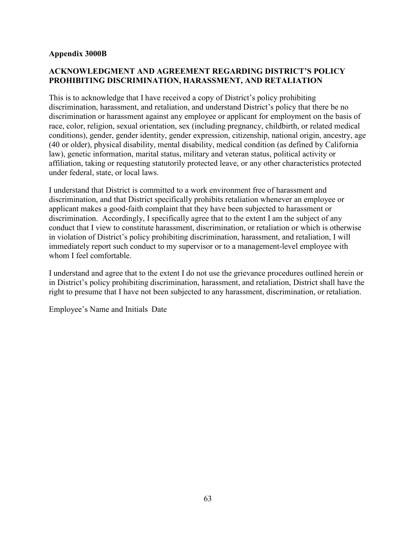### **Appendix 3000B**

### **ACKNOWLEDGMENT AND AGREEMENT REGARDING DISTRICT'S POLICY PROHIBITING DISCRIMINATION, HARASSMENT, AND RETALIATION**

This is to acknowledge that I have received a copy of District's policy prohibiting discrimination, harassment, and retaliation, and understand District's policy that there be no discrimination or harassment against any employee or applicant for employment on the basis of race, color, religion, sexual orientation, sex (including pregnancy, childbirth, or related medical conditions), gender, gender identity, gender expression, citizenship, national origin, ancestry, age (40 or older), physical disability, mental disability, medical condition (as defined by California law), genetic information, marital status, military and veteran status, political activity or affiliation, taking or requesting statutorily protected leave, or any other characteristics protected under federal, state, or local laws.

I understand that District is committed to a work environment free of harassment and discrimination, and that District specifically prohibits retaliation whenever an employee or applicant makes a good-faith complaint that they have been subjected to harassment or discrimination. Accordingly, I specifically agree that to the extent I am the subject of any conduct that I view to constitute harassment, discrimination, or retaliation or which is otherwise in violation of District's policy prohibiting discrimination, harassment, and retaliation, I will immediately report such conduct to my supervisor or to a management-level employee with whom I feel comfortable.

I understand and agree that to the extent I do not use the grievance procedures outlined herein or in District's policy prohibiting discrimination, harassment, and retaliation, District shall have the right to presume that I have not been subjected to any harassment, discrimination, or retaliation.

Employee's Name and Initials Date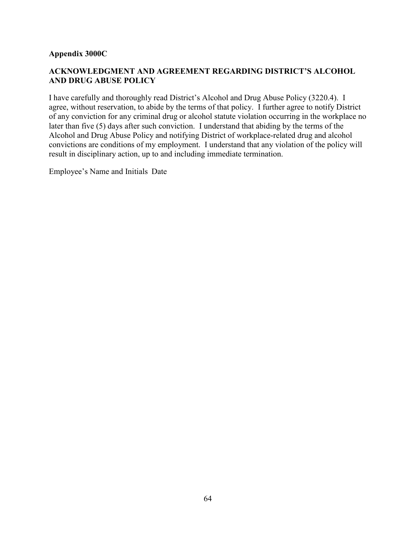### **Appendix 3000C**

### **ACKNOWLEDGMENT AND AGREEMENT REGARDING DISTRICT'S ALCOHOL AND DRUG ABUSE POLICY**

I have carefully and thoroughly read District's Alcohol and Drug Abuse Policy (3220.4). I agree, without reservation, to abide by the terms of that policy. I further agree to notify District of any conviction for any criminal drug or alcohol statute violation occurring in the workplace no later than five (5) days after such conviction. I understand that abiding by the terms of the Alcohol and Drug Abuse Policy and notifying District of workplace-related drug and alcohol convictions are conditions of my employment. I understand that any violation of the policy will result in disciplinary action, up to and including immediate termination.

Employee's Name and Initials Date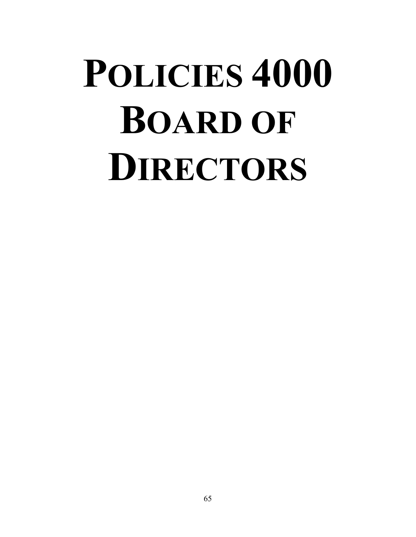# **POLICIES 4000 BOARD OF DIRECTORS**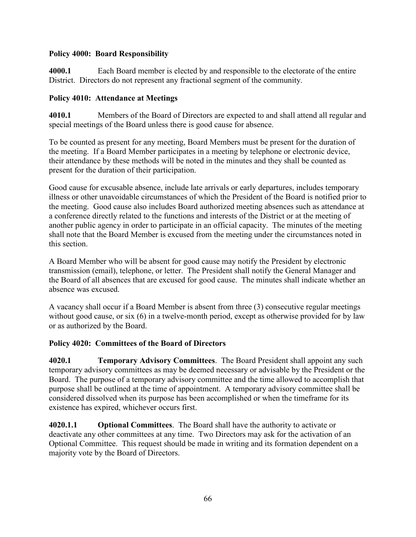### **Policy 4000: Board Responsibility**

**4000.1** Each Board member is elected by and responsible to the electorate of the entire District. Directors do not represent any fractional segment of the community.

### **Policy 4010: Attendance at Meetings**

**4010.1** Members of the Board of Directors are expected to and shall attend all regular and special meetings of the Board unless there is good cause for absence.

To be counted as present for any meeting, Board Members must be present for the duration of the meeting. If a Board Member participates in a meeting by telephone or electronic device, their attendance by these methods will be noted in the minutes and they shall be counted as present for the duration of their participation.

Good cause for excusable absence, include late arrivals or early departures, includes temporary illness or other unavoidable circumstances of which the President of the Board is notified prior to the meeting. Good cause also includes Board authorized meeting absences such as attendance at a conference directly related to the functions and interests of the District or at the meeting of another public agency in order to participate in an official capacity. The minutes of the meeting shall note that the Board Member is excused from the meeting under the circumstances noted in this section.

A Board Member who will be absent for good cause may notify the President by electronic transmission (email), telephone, or letter. The President shall notify the General Manager and the Board of all absences that are excused for good cause. The minutes shall indicate whether an absence was excused.

A vacancy shall occur if a Board Member is absent from three (3) consecutive regular meetings without good cause, or six (6) in a twelve-month period, except as otherwise provided for by law or as authorized by the Board.

# **Policy 4020: Committees of the Board of Directors**

**4020.1 Temporary Advisory Committees**. The Board President shall appoint any such temporary advisory committees as may be deemed necessary or advisable by the President or the Board. The purpose of a temporary advisory committee and the time allowed to accomplish that purpose shall be outlined at the time of appointment. A temporary advisory committee shall be considered dissolved when its purpose has been accomplished or when the timeframe for its existence has expired, whichever occurs first.

**4020.1.1 Optional Committees**. The Board shall have the authority to activate or deactivate any other committees at any time. Two Directors may ask for the activation of an Optional Committee. This request should be made in writing and its formation dependent on a majority vote by the Board of Directors.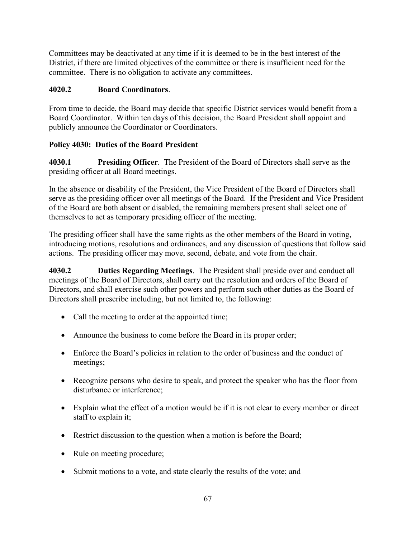Committees may be deactivated at any time if it is deemed to be in the best interest of the District, if there are limited objectives of the committee or there is insufficient need for the committee. There is no obligation to activate any committees.

# **4020.2 Board Coordinators**.

From time to decide, the Board may decide that specific District services would benefit from a Board Coordinator. Within ten days of this decision, the Board President shall appoint and publicly announce the Coordinator or Coordinators.

# **Policy 4030: Duties of the Board President**

**4030.1 Presiding Officer**. The President of the Board of Directors shall serve as the presiding officer at all Board meetings.

In the absence or disability of the President, the Vice President of the Board of Directors shall serve as the presiding officer over all meetings of the Board. If the President and Vice President of the Board are both absent or disabled, the remaining members present shall select one of themselves to act as temporary presiding officer of the meeting.

The presiding officer shall have the same rights as the other members of the Board in voting, introducing motions, resolutions and ordinances, and any discussion of questions that follow said actions. The presiding officer may move, second, debate, and vote from the chair.

**4030.2 Duties Regarding Meetings**. The President shall preside over and conduct all meetings of the Board of Directors, shall carry out the resolution and orders of the Board of Directors, and shall exercise such other powers and perform such other duties as the Board of Directors shall prescribe including, but not limited to, the following:

- Call the meeting to order at the appointed time;
- Announce the business to come before the Board in its proper order;
- Enforce the Board's policies in relation to the order of business and the conduct of meetings;
- Recognize persons who desire to speak, and protect the speaker who has the floor from disturbance or interference;
- Explain what the effect of a motion would be if it is not clear to every member or direct staff to explain it;
- Restrict discussion to the question when a motion is before the Board;
- Rule on meeting procedure;
- Submit motions to a vote, and state clearly the results of the vote; and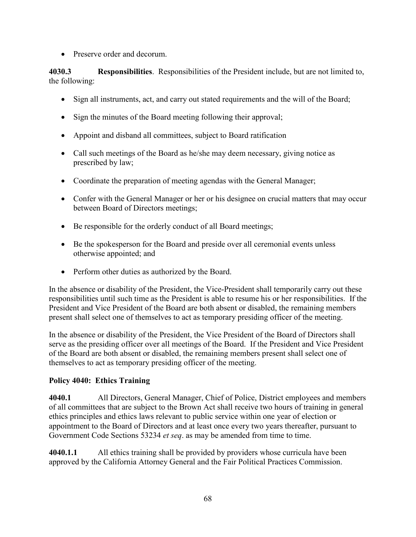• Preserve order and decorum.

**4030.3 Responsibilities**. Responsibilities of the President include, but are not limited to, the following:

- Sign all instruments, act, and carry out stated requirements and the will of the Board;
- Sign the minutes of the Board meeting following their approval;
- Appoint and disband all committees, subject to Board ratification
- Call such meetings of the Board as he/she may deem necessary, giving notice as prescribed by law;
- Coordinate the preparation of meeting agendas with the General Manager;
- Confer with the General Manager or her or his designee on crucial matters that may occur between Board of Directors meetings;
- Be responsible for the orderly conduct of all Board meetings;
- Be the spokesperson for the Board and preside over all ceremonial events unless otherwise appointed; and
- Perform other duties as authorized by the Board.

In the absence or disability of the President, the Vice-President shall temporarily carry out these responsibilities until such time as the President is able to resume his or her responsibilities. If the President and Vice President of the Board are both absent or disabled, the remaining members present shall select one of themselves to act as temporary presiding officer of the meeting.

In the absence or disability of the President, the Vice President of the Board of Directors shall serve as the presiding officer over all meetings of the Board. If the President and Vice President of the Board are both absent or disabled, the remaining members present shall select one of themselves to act as temporary presiding officer of the meeting.

### **Policy 4040: Ethics Training**

**4040.1** All Directors, General Manager, Chief of Police, District employees and members of all committees that are subject to the Brown Act shall receive two hours of training in general ethics principles and ethics laws relevant to public service within one year of election or appointment to the Board of Directors and at least once every two years thereafter, pursuant to Government Code Sections 53234 *et seq*. as may be amended from time to time.

**4040.1.1** All ethics training shall be provided by providers whose curricula have been approved by the California Attorney General and the Fair Political Practices Commission.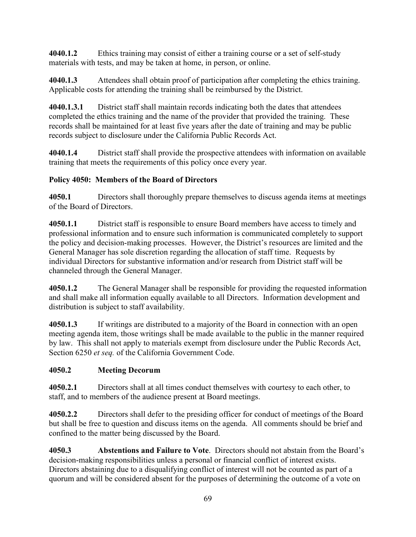**4040.1.2** Ethics training may consist of either a training course or a set of self-study materials with tests, and may be taken at home, in person, or online.

**4040.1.3** Attendees shall obtain proof of participation after completing the ethics training. Applicable costs for attending the training shall be reimbursed by the District.

**4040.1.3.1** District staff shall maintain records indicating both the dates that attendees completed the ethics training and the name of the provider that provided the training. These records shall be maintained for at least five years after the date of training and may be public records subject to disclosure under the California Public Records Act.

**4040.1.4** District staff shall provide the prospective attendees with information on available training that meets the requirements of this policy once every year.

# **Policy 4050: Members of the Board of Directors**

**4050.1** Directors shall thoroughly prepare themselves to discuss agenda items at meetings of the Board of Directors.

**4050.1.1** District staff is responsible to ensure Board members have access to timely and professional information and to ensure such information is communicated completely to support the policy and decision-making processes. However, the District's resources are limited and the General Manager has sole discretion regarding the allocation of staff time. Requests by individual Directors for substantive information and/or research from District staff will be channeled through the General Manager.

**4050.1.2** The General Manager shall be responsible for providing the requested information and shall make all information equally available to all Directors. Information development and distribution is subject to staff availability.

**4050.1.3** If writings are distributed to a majority of the Board in connection with an open meeting agenda item, those writings shall be made available to the public in the manner required by law. This shall not apply to materials exempt from disclosure under the Public Records Act, Section 6250 *et seq.* of the California Government Code.

# **4050.2 Meeting Decorum**

**4050.2.1** Directors shall at all times conduct themselves with courtesy to each other, to staff, and to members of the audience present at Board meetings.

**4050.2.2** Directors shall defer to the presiding officer for conduct of meetings of the Board but shall be free to question and discuss items on the agenda. All comments should be brief and confined to the matter being discussed by the Board.

**4050.3 Abstentions and Failure to Vote**. Directors should not abstain from the Board's decision-making responsibilities unless a personal or financial conflict of interest exists. Directors abstaining due to a disqualifying conflict of interest will not be counted as part of a quorum and will be considered absent for the purposes of determining the outcome of a vote on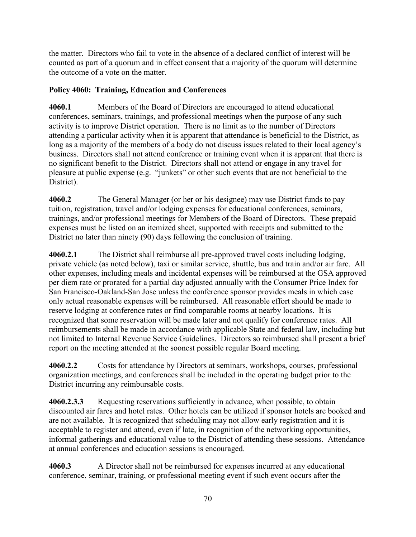the matter. Directors who fail to vote in the absence of a declared conflict of interest will be counted as part of a quorum and in effect consent that a majority of the quorum will determine the outcome of a vote on the matter.

#### **Policy 4060: Training, Education and Conferences**

**4060.1** Members of the Board of Directors are encouraged to attend educational conferences, seminars, trainings, and professional meetings when the purpose of any such activity is to improve District operation. There is no limit as to the number of Directors attending a particular activity when it is apparent that attendance is beneficial to the District, as long as a majority of the members of a body do not discuss issues related to their local agency's business. Directors shall not attend conference or training event when it is apparent that there is no significant benefit to the District. Directors shall not attend or engage in any travel for pleasure at public expense (e.g. "junkets" or other such events that are not beneficial to the District).

**4060.2** The General Manager (or her or his designee) may use District funds to pay tuition, registration, travel and/or lodging expenses for educational conferences, seminars, trainings, and/or professional meetings for Members of the Board of Directors. These prepaid expenses must be listed on an itemized sheet, supported with receipts and submitted to the District no later than ninety (90) days following the conclusion of training.

**4060.2.1** The District shall reimburse all pre-approved travel costs including lodging, private vehicle (as noted below), taxi or similar service, shuttle, bus and train and/or air fare. All other expenses, including meals and incidental expenses will be reimbursed at the GSA approved per diem rate or prorated for a partial day adjusted annually with the Consumer Price Index for San Francisco-Oakland-San Jose unless the conference sponsor provides meals in which case only actual reasonable expenses will be reimbursed. All reasonable effort should be made to reserve lodging at conference rates or find comparable rooms at nearby locations. It is recognized that some reservation will be made later and not qualify for conference rates. All reimbursements shall be made in accordance with applicable State and federal law, including but not limited to Internal Revenue Service Guidelines. Directors so reimbursed shall present a brief report on the meeting attended at the soonest possible regular Board meeting.

**4060.2.2** Costs for attendance by Directors at seminars, workshops, courses, professional organization meetings, and conferences shall be included in the operating budget prior to the District incurring any reimbursable costs.

**4060.2.3.3** Requesting reservations sufficiently in advance, when possible, to obtain discounted air fares and hotel rates. Other hotels can be utilized if sponsor hotels are booked and are not available. It is recognized that scheduling may not allow early registration and it is acceptable to register and attend, even if late, in recognition of the networking opportunities, informal gatherings and educational value to the District of attending these sessions. Attendance at annual conferences and education sessions is encouraged.

**4060.3** A Director shall not be reimbursed for expenses incurred at any educational conference, seminar, training, or professional meeting event if such event occurs after the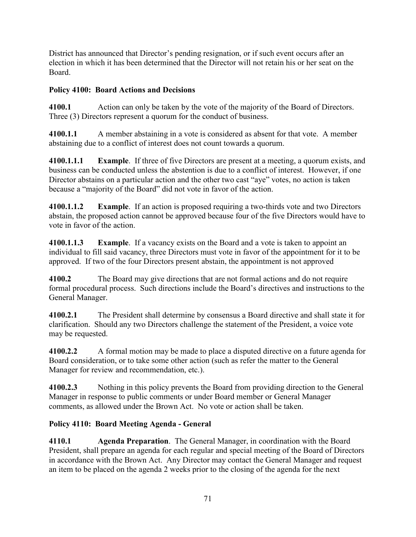District has announced that Director's pending resignation, or if such event occurs after an election in which it has been determined that the Director will not retain his or her seat on the Board.

# **Policy 4100: Board Actions and Decisions**

**4100.1** Action can only be taken by the vote of the majority of the Board of Directors. Three (3) Directors represent a quorum for the conduct of business.

**4100.1.1** A member abstaining in a vote is considered as absent for that vote. A member abstaining due to a conflict of interest does not count towards a quorum.

**4100.1.1.1 Example**. If three of five Directors are present at a meeting, a quorum exists, and business can be conducted unless the abstention is due to a conflict of interest. However, if one Director abstains on a particular action and the other two cast "aye" votes, no action is taken because a "majority of the Board" did not vote in favor of the action.

**4100.1.1.2 Example**. If an action is proposed requiring a two-thirds vote and two Directors abstain, the proposed action cannot be approved because four of the five Directors would have to vote in favor of the action.

**4100.1.1.3 Example**. If a vacancy exists on the Board and a vote is taken to appoint an individual to fill said vacancy, three Directors must vote in favor of the appointment for it to be approved. If two of the four Directors present abstain, the appointment is not approved

**4100.2** The Board may give directions that are not formal actions and do not require formal procedural process. Such directions include the Board's directives and instructions to the General Manager.

**4100.2.1** The President shall determine by consensus a Board directive and shall state it for clarification. Should any two Directors challenge the statement of the President, a voice vote may be requested.

**4100.2.2** A formal motion may be made to place a disputed directive on a future agenda for Board consideration, or to take some other action (such as refer the matter to the General Manager for review and recommendation, etc.).

**4100.2.3** Nothing in this policy prevents the Board from providing direction to the General Manager in response to public comments or under Board member or General Manager comments, as allowed under the Brown Act. No vote or action shall be taken.

# **Policy 4110: Board Meeting Agenda - General**

**4110.1 Agenda Preparation**. The General Manager, in coordination with the Board President, shall prepare an agenda for each regular and special meeting of the Board of Directors in accordance with the Brown Act. Any Director may contact the General Manager and request an item to be placed on the agenda 2 weeks prior to the closing of the agenda for the next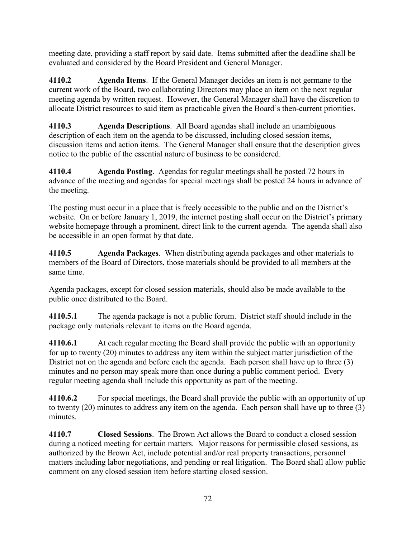meeting date, providing a staff report by said date. Items submitted after the deadline shall be evaluated and considered by the Board President and General Manager.

**4110.2 Agenda Items**. If the General Manager decides an item is not germane to the current work of the Board, two collaborating Directors may place an item on the next regular meeting agenda by written request. However, the General Manager shall have the discretion to allocate District resources to said item as practicable given the Board's then-current priorities.

**4110.3 Agenda Descriptions**. All Board agendas shall include an unambiguous description of each item on the agenda to be discussed, including closed session items, discussion items and action items. The General Manager shall ensure that the description gives notice to the public of the essential nature of business to be considered.

**4110.4 Agenda Posting**. Agendas for regular meetings shall be posted 72 hours in advance of the meeting and agendas for special meetings shall be posted 24 hours in advance of the meeting.

The posting must occur in a place that is freely accessible to the public and on the District's website. On or before January 1, 2019, the internet posting shall occur on the District's primary website homepage through a prominent, direct link to the current agenda. The agenda shall also be accessible in an open format by that date.

**4110.5 Agenda Packages**. When distributing agenda packages and other materials to members of the Board of Directors, those materials should be provided to all members at the same time.

Agenda packages, except for closed session materials, should also be made available to the public once distributed to the Board.

**4110.5.1** The agenda package is not a public forum. District staff should include in the package only materials relevant to items on the Board agenda.

**4110.6.1** At each regular meeting the Board shall provide the public with an opportunity for up to twenty (20) minutes to address any item within the subject matter jurisdiction of the District not on the agenda and before each the agenda. Each person shall have up to three (3) minutes and no person may speak more than once during a public comment period. Every regular meeting agenda shall include this opportunity as part of the meeting.

**4110.6.2** For special meetings, the Board shall provide the public with an opportunity of up to twenty (20) minutes to address any item on the agenda. Each person shall have up to three (3) minutes.

**4110.7 Closed Sessions**. The Brown Act allows the Board to conduct a closed session during a noticed meeting for certain matters. Major reasons for permissible closed sessions, as authorized by the Brown Act, include potential and/or real property transactions, personnel matters including labor negotiations, and pending or real litigation. The Board shall allow public comment on any closed session item before starting closed session.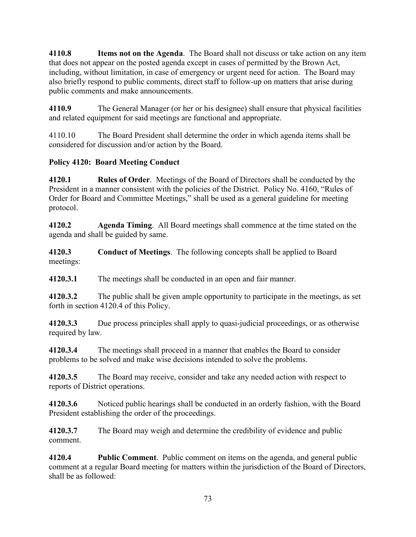**4110.8 Items not on the Agenda**. The Board shall not discuss or take action on any item that does not appear on the posted agenda except in cases of permitted by the Brown Act, including, without limitation, in case of emergency or urgent need for action. The Board may also briefly respond to public comments, direct staff to follow-up on matters that arise during public comments and make announcements.

**4110.9** The General Manager (or her or his designee) shall ensure that physical facilities and related equipment for said meetings are functional and appropriate.

4110.10 The Board President shall determine the order in which agenda items shall be considered for discussion and/or action by the Board.

### **Policy 4120: Board Meeting Conduct**

**4120.1 Rules of Order**. Meetings of the Board of Directors shall be conducted by the President in a manner consistent with the policies of the District. Policy No. 4160, "Rules of Order for Board and Committee Meetings," shall be used as a general guideline for meeting protocol.

**4120.2 Agenda Timing**. All Board meetings shall commence at the time stated on the agenda and shall be guided by same.

**4120.3 Conduct of Meetings**. The following concepts shall be applied to Board meetings:

**4120.3.1** The meetings shall be conducted in an open and fair manner.

**4120.3.2** The public shall be given ample opportunity to participate in the meetings, as set forth in section 4120.4 of this Policy.

**4120.3.3** Due process principles shall apply to quasi-judicial proceedings, or as otherwise required by law.

**4120.3.4** The meetings shall proceed in a manner that enables the Board to consider problems to be solved and make wise decisions intended to solve the problems.

**4120.3.5** The Board may receive, consider and take any needed action with respect to reports of District operations.

**4120.3.6** Noticed public hearings shall be conducted in an orderly fashion, with the Board President establishing the order of the proceedings.

**4120.3.7** The Board may weigh and determine the credibility of evidence and public comment.

**4120.4 Public Comment**. Public comment on items on the agenda, and general public comment at a regular Board meeting for matters within the jurisdiction of the Board of Directors, shall be as followed: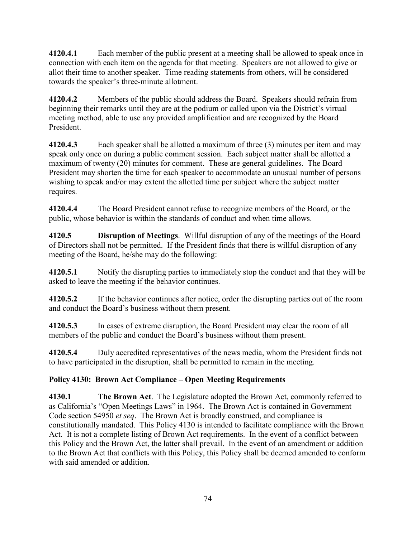**4120.4.1** Each member of the public present at a meeting shall be allowed to speak once in connection with each item on the agenda for that meeting. Speakers are not allowed to give or allot their time to another speaker. Time reading statements from others, will be considered towards the speaker's three-minute allotment.

**4120.4.2** Members of the public should address the Board. Speakers should refrain from beginning their remarks until they are at the podium or called upon via the District's virtual meeting method, able to use any provided amplification and are recognized by the Board President.

**4120.4.3** Each speaker shall be allotted a maximum of three (3) minutes per item and may speak only once on during a public comment session. Each subject matter shall be allotted a maximum of twenty (20) minutes for comment. These are general guidelines. The Board President may shorten the time for each speaker to accommodate an unusual number of persons wishing to speak and/or may extent the allotted time per subject where the subject matter requires.

**4120.4.4** The Board President cannot refuse to recognize members of the Board, or the public, whose behavior is within the standards of conduct and when time allows.

**4120.5 Disruption of Meetings**. Willful disruption of any of the meetings of the Board of Directors shall not be permitted. If the President finds that there is willful disruption of any meeting of the Board, he/she may do the following:

**4120.5.1** Notify the disrupting parties to immediately stop the conduct and that they will be asked to leave the meeting if the behavior continues.

**4120.5.2** If the behavior continues after notice, order the disrupting parties out of the room and conduct the Board's business without them present.

**4120.5.3** In cases of extreme disruption, the Board President may clear the room of all members of the public and conduct the Board's business without them present.

**4120.5.4** Duly accredited representatives of the news media, whom the President finds not to have participated in the disruption, shall be permitted to remain in the meeting.

### **Policy 4130: Brown Act Compliance – Open Meeting Requirements**

**4130.1 The Brown Act**. The Legislature adopted the Brown Act, commonly referred to as California's "Open Meetings Laws" in 1964. The Brown Act is contained in Government Code section 54950 *et seq*. The Brown Act is broadly construed, and compliance is constitutionally mandated. This Policy 4130 is intended to facilitate compliance with the Brown Act. It is not a complete listing of Brown Act requirements. In the event of a conflict between this Policy and the Brown Act, the latter shall prevail. In the event of an amendment or addition to the Brown Act that conflicts with this Policy, this Policy shall be deemed amended to conform with said amended or addition.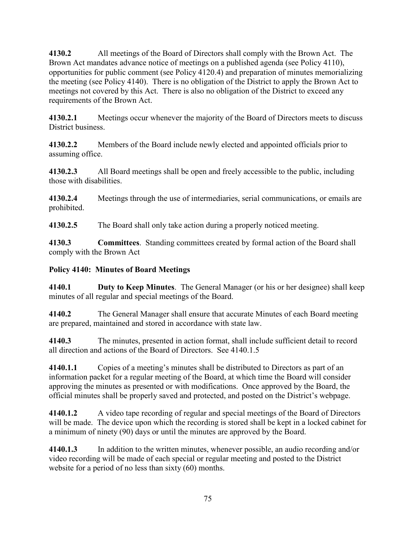**4130.2** All meetings of the Board of Directors shall comply with the Brown Act. The Brown Act mandates advance notice of meetings on a published agenda (see Policy 4110), opportunities for public comment (see Policy 4120.4) and preparation of minutes memorializing the meeting (see Policy 4140). There is no obligation of the District to apply the Brown Act to meetings not covered by this Act. There is also no obligation of the District to exceed any requirements of the Brown Act.

**4130.2.1** Meetings occur whenever the majority of the Board of Directors meets to discuss District business.

**4130.2.2** Members of the Board include newly elected and appointed officials prior to assuming office.

**4130.2.3** All Board meetings shall be open and freely accessible to the public, including those with disabilities.

**4130.2.4** Meetings through the use of intermediaries, serial communications, or emails are prohibited.

**4130.2.5** The Board shall only take action during a properly noticed meeting.

**4130.3 Committees**. Standing committees created by formal action of the Board shall comply with the Brown Act

#### **Policy 4140: Minutes of Board Meetings**

**4140.1 Duty to Keep Minutes**. The General Manager (or his or her designee) shall keep minutes of all regular and special meetings of the Board.

**4140.2** The General Manager shall ensure that accurate Minutes of each Board meeting are prepared, maintained and stored in accordance with state law.

**4140.3** The minutes, presented in action format, shall include sufficient detail to record all direction and actions of the Board of Directors. See 4140.1.5

**4140.1.1** Copies of a meeting's minutes shall be distributed to Directors as part of an information packet for a regular meeting of the Board, at which time the Board will consider approving the minutes as presented or with modifications. Once approved by the Board, the official minutes shall be properly saved and protected, and posted on the District's webpage.

**4140.1.2** A video tape recording of regular and special meetings of the Board of Directors will be made. The device upon which the recording is stored shall be kept in a locked cabinet for a minimum of ninety (90) days or until the minutes are approved by the Board.

**4140.1.3** In addition to the written minutes, whenever possible, an audio recording and/or video recording will be made of each special or regular meeting and posted to the District website for a period of no less than sixty (60) months.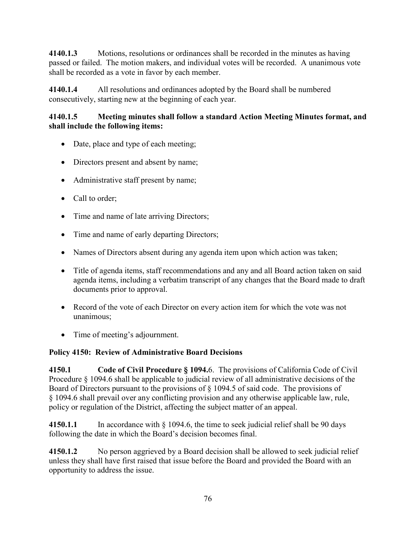**4140.1.3** Motions, resolutions or ordinances shall be recorded in the minutes as having passed or failed. The motion makers, and individual votes will be recorded. A unanimous vote shall be recorded as a vote in favor by each member.

**4140.1.4** All resolutions and ordinances adopted by the Board shall be numbered consecutively, starting new at the beginning of each year.

#### **4140.1.5 Meeting minutes shall follow a standard Action Meeting Minutes format, and shall include the following items:**

- Date, place and type of each meeting;
- Directors present and absent by name;
- Administrative staff present by name;
- Call to order;
- Time and name of late arriving Directors;
- Time and name of early departing Directors;
- Names of Directors absent during any agenda item upon which action was taken;
- Title of agenda items, staff recommendations and any and all Board action taken on said agenda items, including a verbatim transcript of any changes that the Board made to draft documents prior to approval.
- Record of the vote of each Director on every action item for which the vote was not unanimous;
- Time of meeting's adjournment.

### **Policy 4150: Review of Administrative Board Decisions**

**4150.1 Code of Civil Procedure § 1094.**6. The provisions of California Code of Civil Procedure § 1094.6 shall be applicable to judicial review of all administrative decisions of the Board of Directors pursuant to the provisions of § 1094.5 of said code. The provisions of § 1094.6 shall prevail over any conflicting provision and any otherwise applicable law, rule, policy or regulation of the District, affecting the subject matter of an appeal.

**4150.1.1** In accordance with § 1094.6, the time to seek judicial relief shall be 90 days following the date in which the Board's decision becomes final.

**4150.1.2** No person aggrieved by a Board decision shall be allowed to seek judicial relief unless they shall have first raised that issue before the Board and provided the Board with an opportunity to address the issue.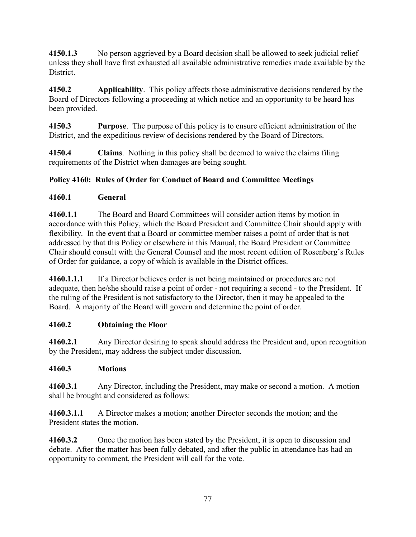**4150.1.3** No person aggrieved by a Board decision shall be allowed to seek judicial relief unless they shall have first exhausted all available administrative remedies made available by the District.

**4150.2 Applicability**. This policy affects those administrative decisions rendered by the Board of Directors following a proceeding at which notice and an opportunity to be heard has been provided.

**4150.3 Purpose**. The purpose of this policy is to ensure efficient administration of the District, and the expeditious review of decisions rendered by the Board of Directors.

**4150.4 Claims**. Nothing in this policy shall be deemed to waive the claims filing requirements of the District when damages are being sought.

### **Policy 4160: Rules of Order for Conduct of Board and Committee Meetings**

#### **4160.1 General**

**4160.1.1** The Board and Board Committees will consider action items by motion in accordance with this Policy, which the Board President and Committee Chair should apply with flexibility. In the event that a Board or committee member raises a point of order that is not addressed by that this Policy or elsewhere in this Manual, the Board President or Committee Chair should consult with the General Counsel and the most recent edition of Rosenberg's Rules of Order for guidance, a copy of which is available in the District offices.

**4160.1.1.1** If a Director believes order is not being maintained or procedures are not adequate, then he/she should raise a point of order - not requiring a second - to the President. If the ruling of the President is not satisfactory to the Director, then it may be appealed to the Board. A majority of the Board will govern and determine the point of order.

#### **4160.2 Obtaining the Floor**

**4160.2.1** Any Director desiring to speak should address the President and, upon recognition by the President, may address the subject under discussion.

#### **4160.3 Motions**

**4160.3.1** Any Director, including the President, may make or second a motion. A motion shall be brought and considered as follows:

**4160.3.1.1** A Director makes a motion; another Director seconds the motion; and the President states the motion.

**4160.3.2** Once the motion has been stated by the President, it is open to discussion and debate. After the matter has been fully debated, and after the public in attendance has had an opportunity to comment, the President will call for the vote.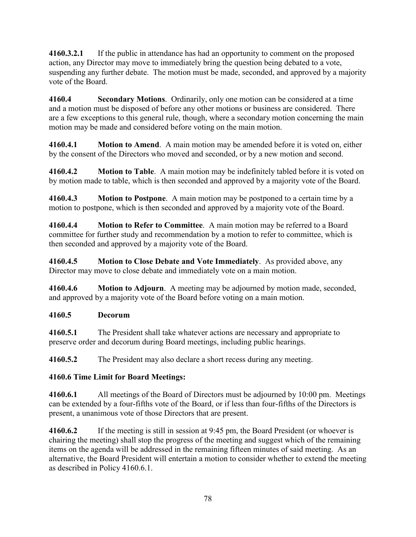**4160.3.2.1** If the public in attendance has had an opportunity to comment on the proposed action, any Director may move to immediately bring the question being debated to a vote, suspending any further debate. The motion must be made, seconded, and approved by a majority vote of the Board.

**4160.4 Secondary Motions**. Ordinarily, only one motion can be considered at a time and a motion must be disposed of before any other motions or business are considered. There are a few exceptions to this general rule, though, where a secondary motion concerning the main motion may be made and considered before voting on the main motion.

**4160.4.1 Motion to Amend**. A main motion may be amended before it is voted on, either by the consent of the Directors who moved and seconded, or by a new motion and second.

**4160.4.2 Motion to Table**. A main motion may be indefinitely tabled before it is voted on by motion made to table, which is then seconded and approved by a majority vote of the Board.

**4160.4.3 Motion to Postpone**. A main motion may be postponed to a certain time by a motion to postpone, which is then seconded and approved by a majority vote of the Board.

**4160.4.4 Motion to Refer to Committee**. A main motion may be referred to a Board committee for further study and recommendation by a motion to refer to committee, which is then seconded and approved by a majority vote of the Board.

**4160.4.5 Motion to Close Debate and Vote Immediately**. As provided above, any Director may move to close debate and immediately vote on a main motion.

**4160.4.6 Motion to Adjourn**. A meeting may be adjourned by motion made, seconded, and approved by a majority vote of the Board before voting on a main motion.

#### **4160.5 Decorum**

**4160.5.1** The President shall take whatever actions are necessary and appropriate to preserve order and decorum during Board meetings, including public hearings.

**4160.5.2** The President may also declare a short recess during any meeting.

### **4160.6 Time Limit for Board Meetings:**

**4160.6.1** All meetings of the Board of Directors must be adjourned by 10:00 pm. Meetings can be extended by a four-fifths vote of the Board, or if less than four-fifths of the Directors is present, a unanimous vote of those Directors that are present.

**4160.6.2** If the meeting is still in session at 9:45 pm, the Board President (or whoever is chairing the meeting) shall stop the progress of the meeting and suggest which of the remaining items on the agenda will be addressed in the remaining fifteen minutes of said meeting. As an alternative, the Board President will entertain a motion to consider whether to extend the meeting as described in Policy 4160.6.1.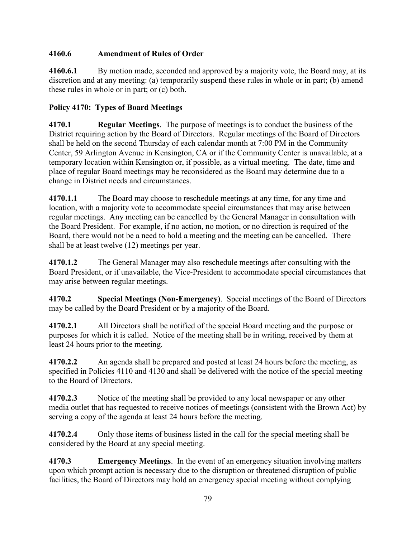# **4160.6 Amendment of Rules of Order**

**4160.6.1** By motion made, seconded and approved by a majority vote, the Board may, at its discretion and at any meeting: (a) temporarily suspend these rules in whole or in part; (b) amend these rules in whole or in part; or (c) both.

# **Policy 4170: Types of Board Meetings**

**4170.1 Regular Meetings**. The purpose of meetings is to conduct the business of the District requiring action by the Board of Directors. Regular meetings of the Board of Directors shall be held on the second Thursday of each calendar month at 7:00 PM in the Community Center, 59 Arlington Avenue in Kensington, CA or if the Community Center is unavailable, at a temporary location within Kensington or, if possible, as a virtual meeting. The date, time and place of regular Board meetings may be reconsidered as the Board may determine due to a change in District needs and circumstances.

**4170.1.1** The Board may choose to reschedule meetings at any time, for any time and location, with a majority vote to accommodate special circumstances that may arise between regular meetings. Any meeting can be cancelled by the General Manager in consultation with the Board President. For example, if no action, no motion, or no direction is required of the Board, there would not be a need to hold a meeting and the meeting can be cancelled. There shall be at least twelve (12) meetings per year.

**4170.1.2** The General Manager may also reschedule meetings after consulting with the Board President, or if unavailable, the Vice-President to accommodate special circumstances that may arise between regular meetings.

**4170.2 Special Meetings (Non-Emergency)**. Special meetings of the Board of Directors may be called by the Board President or by a majority of the Board.

**4170.2.1** All Directors shall be notified of the special Board meeting and the purpose or purposes for which it is called. Notice of the meeting shall be in writing, received by them at least 24 hours prior to the meeting.

**4170.2.2** An agenda shall be prepared and posted at least 24 hours before the meeting, as specified in Policies 4110 and 4130 and shall be delivered with the notice of the special meeting to the Board of Directors.

**4170.2.3** Notice of the meeting shall be provided to any local newspaper or any other media outlet that has requested to receive notices of meetings (consistent with the Brown Act) by serving a copy of the agenda at least 24 hours before the meeting.

**4170.2.4** Only those items of business listed in the call for the special meeting shall be considered by the Board at any special meeting.

**4170.3 Emergency Meetings**. In the event of an emergency situation involving matters upon which prompt action is necessary due to the disruption or threatened disruption of public facilities, the Board of Directors may hold an emergency special meeting without complying